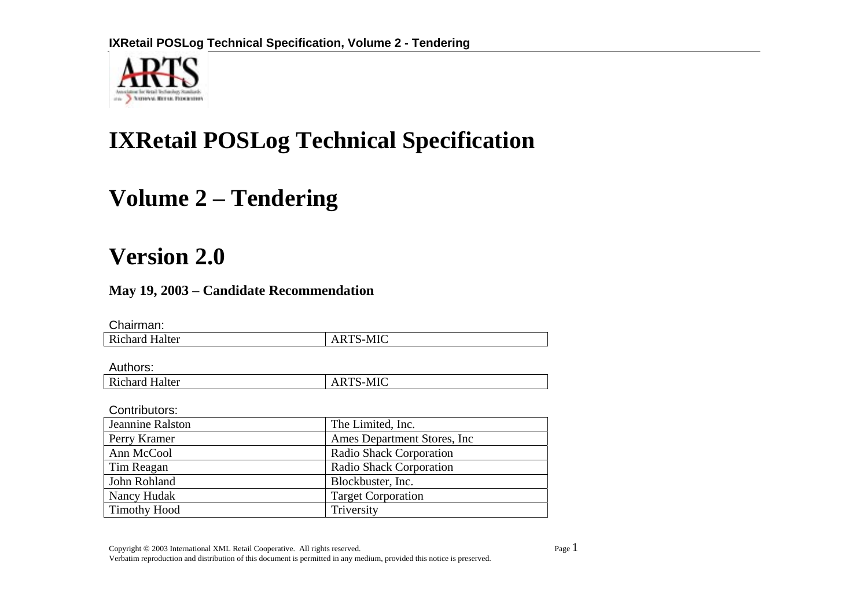

# **IXRetail POSLog Technical Specification**

# **Volume 2 – Tendering**

# **Version 2.0**

**May 19, 2003 – Candidate Recommendation** 

| Chairman:             |                              |
|-----------------------|------------------------------|
| <b>Richard Halter</b> | <b>ARTS-MIC</b>              |
|                       |                              |
| Authors:              |                              |
| <b>Richard Halter</b> | <b>ARTS-MIC</b>              |
|                       |                              |
| Contributors:         |                              |
| Jeannine Ralston      | The Limited, Inc.            |
| Perry Kramer          | Ames Department Stores, Inc. |
| Ann McCool            | Radio Shack Corporation      |
| Tim Reagan            | Radio Shack Corporation      |
| John Rohland          | Blockbuster, Inc.            |
| Nancy Hudak           | <b>Target Corporation</b>    |
| <b>Timothy Hood</b>   | Triversity                   |

Copyright 2003 International XML Retail Cooperative. All rights reserved. Page 1

Verbatim reproduction and distribution of this document is permitted in any medium, provided this notice is preserved.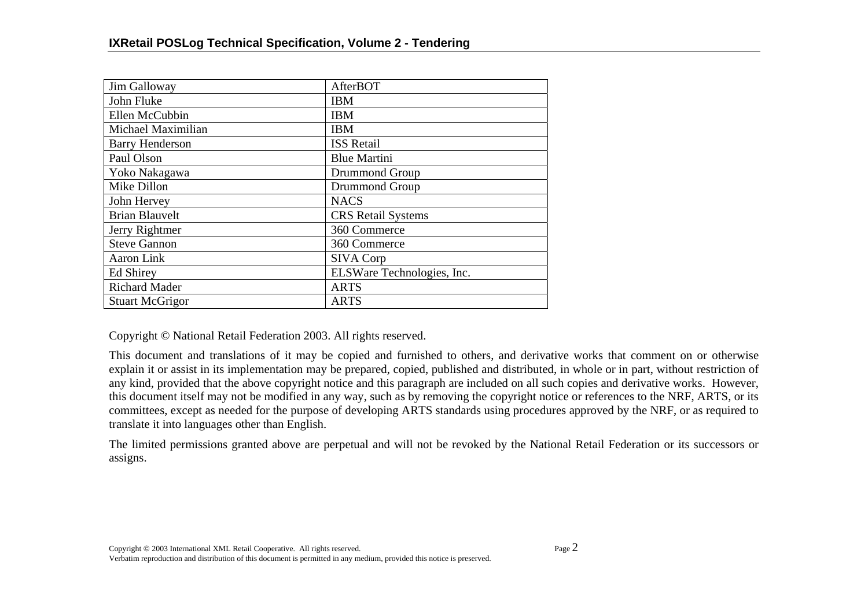| Jim Galloway           | AfterBOT                   |
|------------------------|----------------------------|
| John Fluke             | <b>IBM</b>                 |
| Ellen McCubbin         | <b>IBM</b>                 |
| Michael Maximilian     | <b>IBM</b>                 |
| <b>Barry Henderson</b> | <b>ISS Retail</b>          |
| Paul Olson             | <b>Blue Martini</b>        |
| Yoko Nakagawa          | Drummond Group             |
| Mike Dillon            | Drummond Group             |
| John Hervey            | <b>NACS</b>                |
| <b>Brian Blauvelt</b>  | <b>CRS</b> Retail Systems  |
| Jerry Rightmer         | 360 Commerce               |
| <b>Steve Gannon</b>    | 360 Commerce               |
| Aaron Link             | <b>SIVA Corp</b>           |
| Ed Shirey              | ELSWare Technologies, Inc. |
| <b>Richard Mader</b>   | <b>ARTS</b>                |
| <b>Stuart McGrigor</b> | <b>ARTS</b>                |

Copyright © National Retail Federation 2003. All rights reserved.

This document and translations of it may be copied and furnished to others, and derivative works that comment on or otherwise explain it or assist in its implementation may be prepared, copied, published and distributed, in whole or in part, without restriction of any kind, provided that the above copyright notice and this paragraph are included on all such copies and derivative works. However, this document itself may not be modified in any way, such as by removing the copyright notice or references to the NRF, ARTS, or its committees, except as needed for the purpose of developing ARTS standards using procedures approved by the NRF, or as required to translate it into languages other than English.

The limited permissions granted above are perpetual and will not be revoked by the National Retail Federation or its successors or assigns.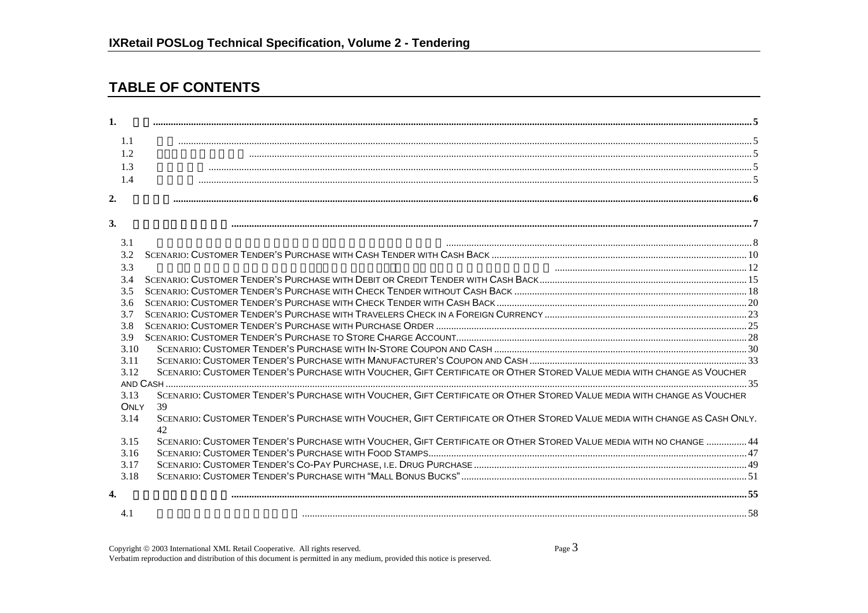# **TABLE OF CONTENTS**

| 1.   |                                                                                                                                 |
|------|---------------------------------------------------------------------------------------------------------------------------------|
| 1.1  |                                                                                                                                 |
| 1.2  |                                                                                                                                 |
| 1.3  |                                                                                                                                 |
| 1.4  |                                                                                                                                 |
| 2.   |                                                                                                                                 |
| 3.   |                                                                                                                                 |
| 3.1  |                                                                                                                                 |
| 3.2  |                                                                                                                                 |
| 3.3  | 12                                                                                                                              |
| 3.4  |                                                                                                                                 |
| 3.5  |                                                                                                                                 |
| 3.6  |                                                                                                                                 |
| 3.7  |                                                                                                                                 |
| 3.8  |                                                                                                                                 |
| 3.9  |                                                                                                                                 |
| 3.10 |                                                                                                                                 |
| 3.11 |                                                                                                                                 |
| 3.12 | SCENARIO: CUSTOMER TENDER'S PURCHASE WITH VOUCHER, GIFT CERTIFICATE OR OTHER STORED VALUE MEDIA WITH CHANGE AS VOUCHER          |
|      |                                                                                                                                 |
| 3.13 | SCENARIO: CUSTOMER TENDER'S PURCHASE WITH VOUCHER, GIFT CERTIFICATE OR OTHER STORED VALUE MEDIA WITH CHANGE AS VOUCHER          |
| ONLY | 39                                                                                                                              |
| 3.14 | SCENARIO: CUSTOMER TENDER'S PURCHASE WITH VOUCHER, GIFT CERTIFICATE OR OTHER STORED VALUE MEDIA WITH CHANGE AS CASH ONLY.<br>42 |
| 3.15 | SCENARIO: CUSTOMER TENDER'S PURCHASE WITH VOUCHER, GIFT CERTIFICATE OR OTHER STORED VALUE MEDIA WITH NO CHANGE  44              |
| 3.16 |                                                                                                                                 |
| 3.17 |                                                                                                                                 |
| 3.18 |                                                                                                                                 |
| 4.   |                                                                                                                                 |
| 4.1  |                                                                                                                                 |
|      |                                                                                                                                 |

Verbatim reproduction and distribution of this document is permitted in any medium, provided this notice is preserved.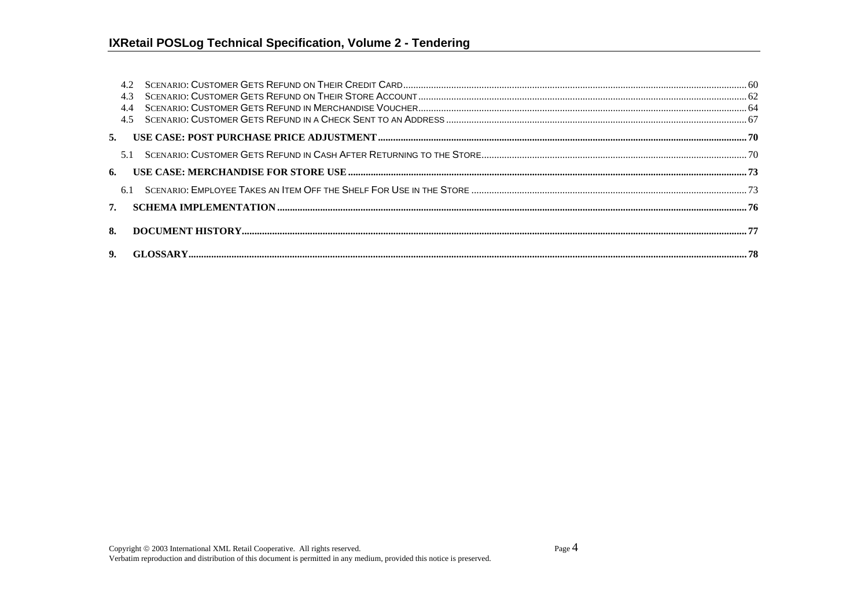# **IXRetail POSLog Technical Specification, Volume 2 - Tendering**

|    | 4.4<br>4.5 |  |
|----|------------|--|
|    |            |  |
|    |            |  |
| 6. |            |  |
|    |            |  |
| 7. |            |  |
| 8. |            |  |
| 9. |            |  |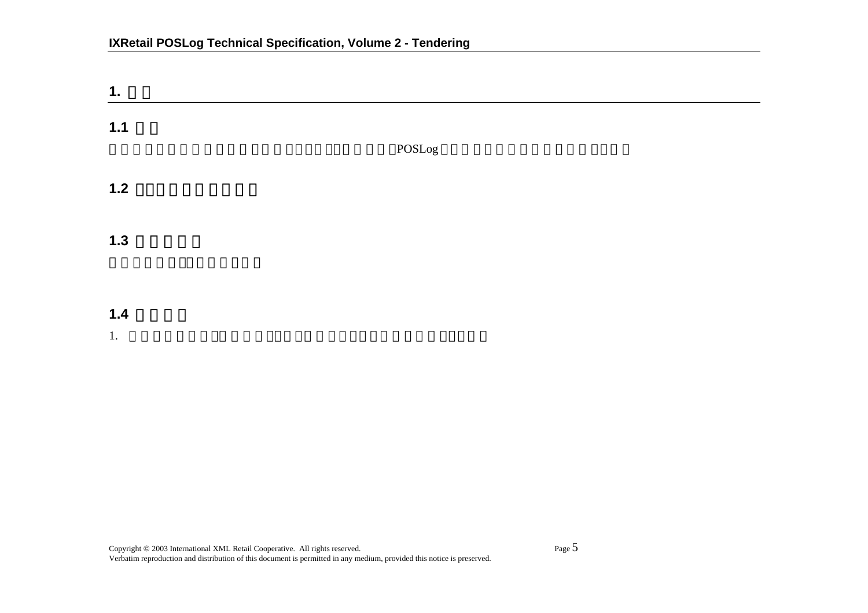| 1.    |        |
|-------|--------|
| $1.1$ | POSLog |
| $1.2$ |        |
| $1.3$ |        |
|       |        |
| $1.4$ |        |
| 1.    |        |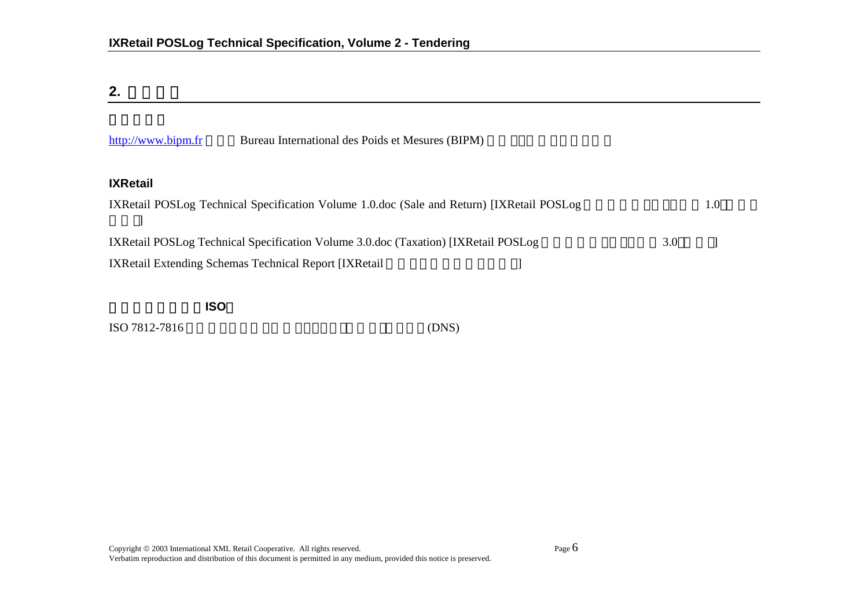## **2.** 参考文書

http://www.bipm.fr Bureau International des Poids et Mesures (BIPM)

#### **IXRetail**

| IXRetail POSLog Technical Specification Volume 1.0.doc (Sale and Return) [IXRetail POSLog |     | 0.1 |
|-------------------------------------------------------------------------------------------|-----|-----|
|                                                                                           |     |     |
| IXRetail POSLog Technical Specification Volume 3.0.doc (Taxation) [IXRetail POSLog        | 3.0 |     |
| IXRetail Extending Schemas Technical Report [IXRetail]                                    |     |     |

国際標準化機構(**ISO**)

ISO 7812-7816

(DNS)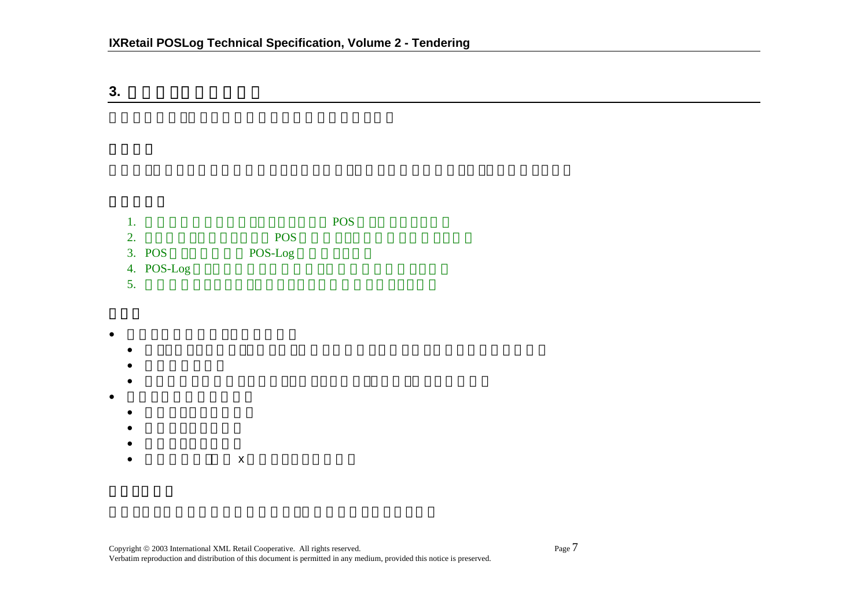**3.** 使用例:

•



## •

- •
- •
- •
- 
- •
- •
- •
- • $\bullet$  x x  $\pmb{\mathsf{X}}$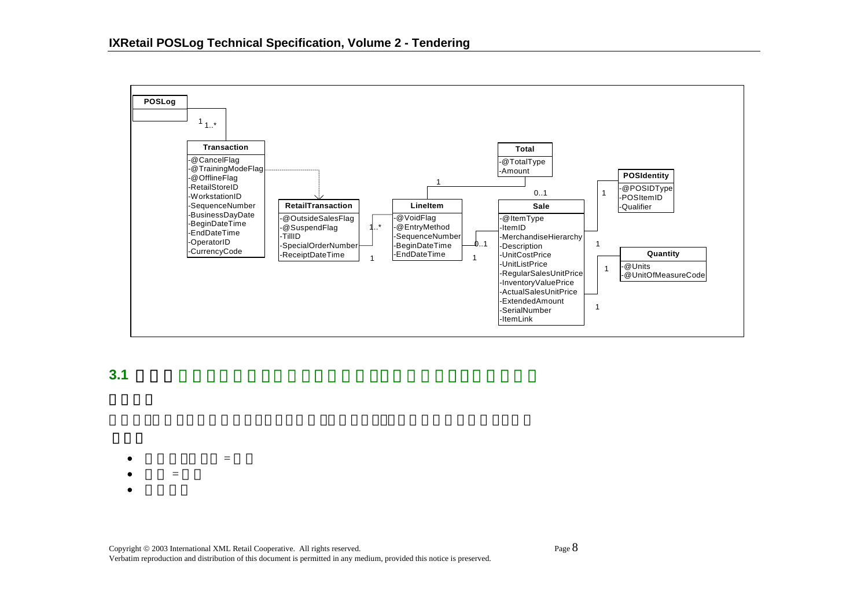

**3.1** 状況:

•=

- •=
- •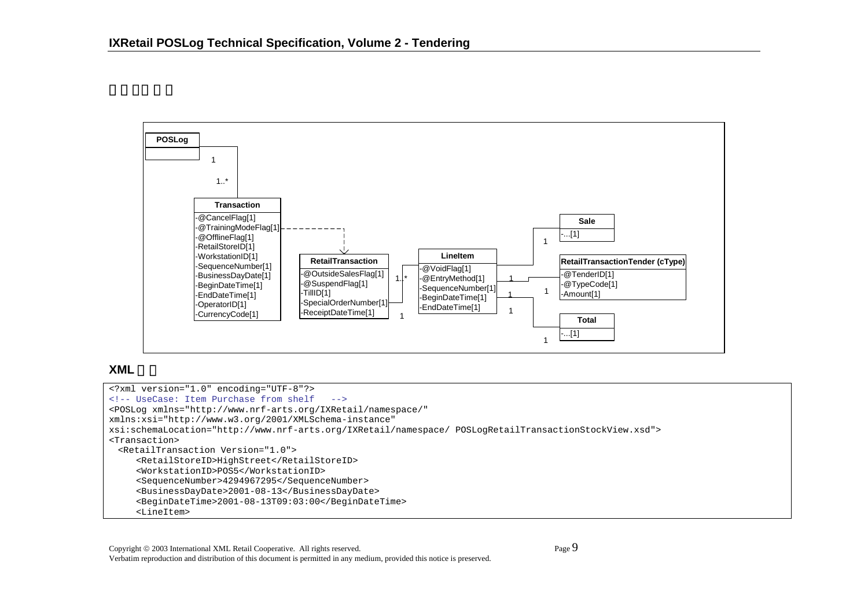

**XML**

<?xml version="1.0" encoding="UTF-8"?> <!-- UseCase: Item Purchase from shelf --> <POSLog xmlns="http://www.nrf-arts.org/IXRetail/namespace/" xmlns:xsi="http://www.w3.org/2001/XMLSchema-instance" xsi:schemaLocation="http://www.nrf-arts.org/IXRetail/namespace/ POSLogRetailTransactionStockView.xsd"> <Transaction> <RetailTransaction Version="1.0"> <RetailStoreID>HighStreet</RetailStoreID> <WorkstationID>POS5</WorkstationID> <SequenceNumber>4294967295</SequenceNumber> <BusinessDayDate>2001-08-13</BusinessDayDate> <BeginDateTime>2001-08-13T09:03:00</BeginDateTime> <LineItem>

Copyright © 2003 International XML Retail Cooperative. All rights reserved. The example of the example of the Page

Verbatim reproduction and distribution of this document is permitted in any medium, provided this notice is preserved.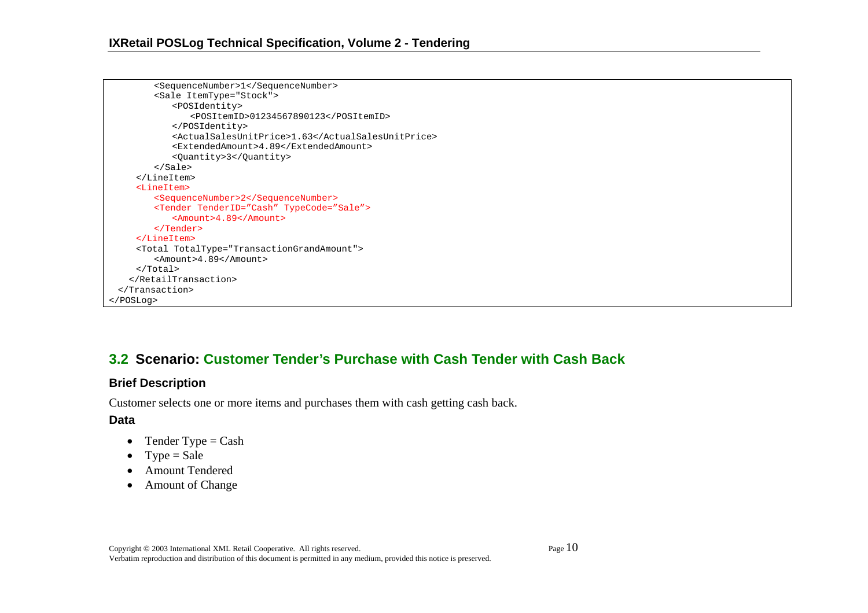```
 <SequenceNumber>1</SequenceNumber> 
         <Sale ItemType="Stock"> 
             <POSIdentity> 
                 <POSItemID>01234567890123</POSItemID> 
             </POSIdentity> 
             <ActualSalesUnitPrice>1.63</ActualSalesUnitPrice> 
             <ExtendedAmount>4.89</ExtendedAmount> 
             <Quantity>3</Quantity> 
         </Sale> 
      </LineItem> 
      <LineItem>  <SequenceNumber>2</SequenceNumber> 
         <Tender TenderID="Cash" TypeCode="Sale"> 
             <Amount>4.89</Amount> 
         </Tender> 
      </LineItem> 
     <Total TotalType="TransactionGrandAmount"> 
         <Amount>4.89</Amount> 
      </Total> 
    </RetailTransaction> 
  </Transaction> 
</POSLog>
```
# **3.2 Scenario: Customer Tender's Purchase with Cash Tender with Cash Back**

#### **Brief Description**

Customer selects one or more items and purchases them with cash getting cash back.

- Tender Type  $=$  Cash
- Type  $=$  Sale
- Amount Tendered
- Amount of Change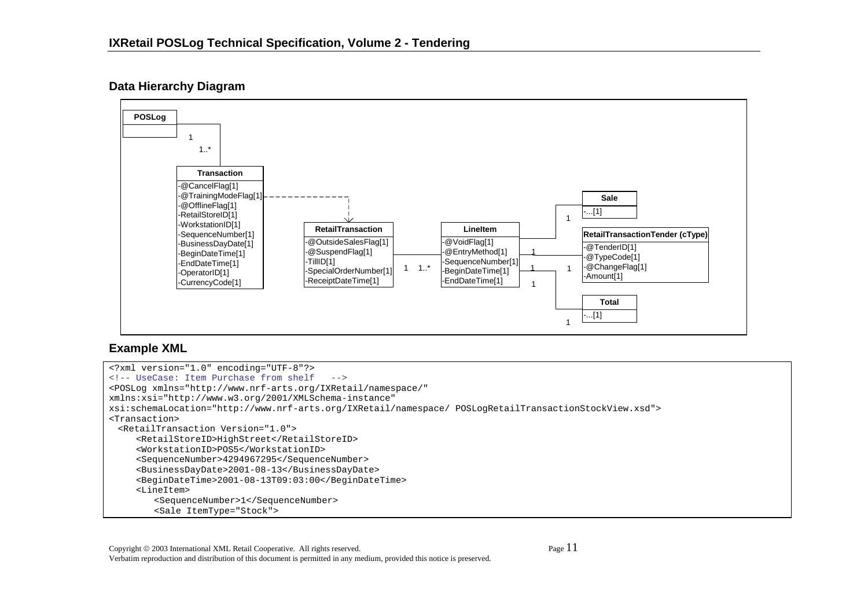

#### **Example XML**



Copyright © 2003 International XML Retail Cooperative. All rights reserved.  $\qquad \qquad \qquad$  Page  $11$ 

Verbatim reproduction and distribution of this document is permitted in any medium, provided this notice is preserved.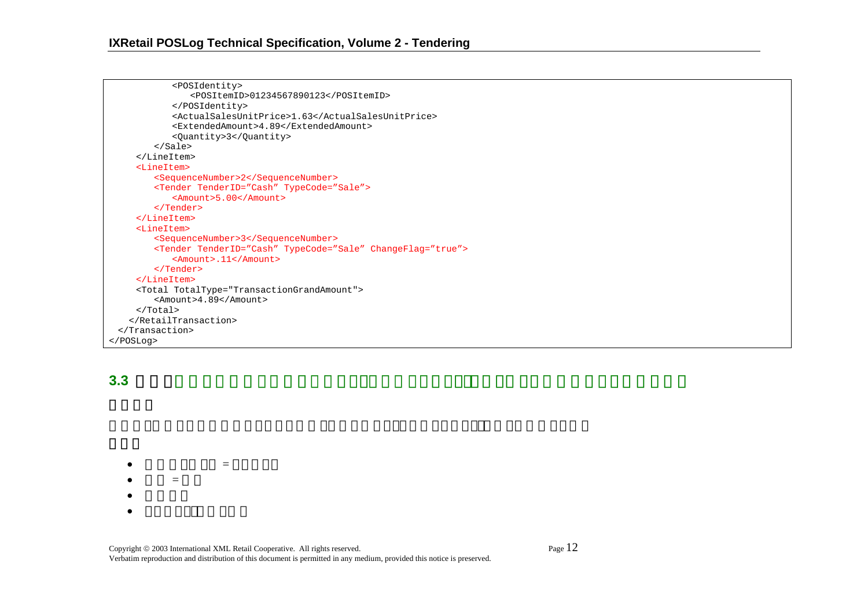```
 <POSIdentity> 
                 <POSItemID>01234567890123</POSItemID> 
             </POSIdentity> 
             <ActualSalesUnitPrice>1.63</ActualSalesUnitPrice> 
             <ExtendedAmount>4.89</ExtendedAmount> 
             <Quantity>3</Quantity> 
         </Sale> 
      </LineItem> 
      <LineItem>  <SequenceNumber>2</SequenceNumber> 
         <Tender TenderID="Cash" TypeCode="Sale"> 
             <Amount>5.00</Amount> 
         </Tender> 
      </LineItem> 
      <LineItem>  <SequenceNumber>3</SequenceNumber> 
         <Tender TenderID="Cash" TypeCode="Sale" ChangeFlag="true"> 
             <Amount>.11</Amount> 
         </Tender> 
      </LineItem> 
     <Total TotalType="TransactionGrandAmount"> 
          <Amount>4.89</Amount> 
      </Total> 
    </RetailTransaction> 
  </Transaction> 
</POSLog>
```
## **3.3** 状況:

```
• =
```
- •=
- •
- •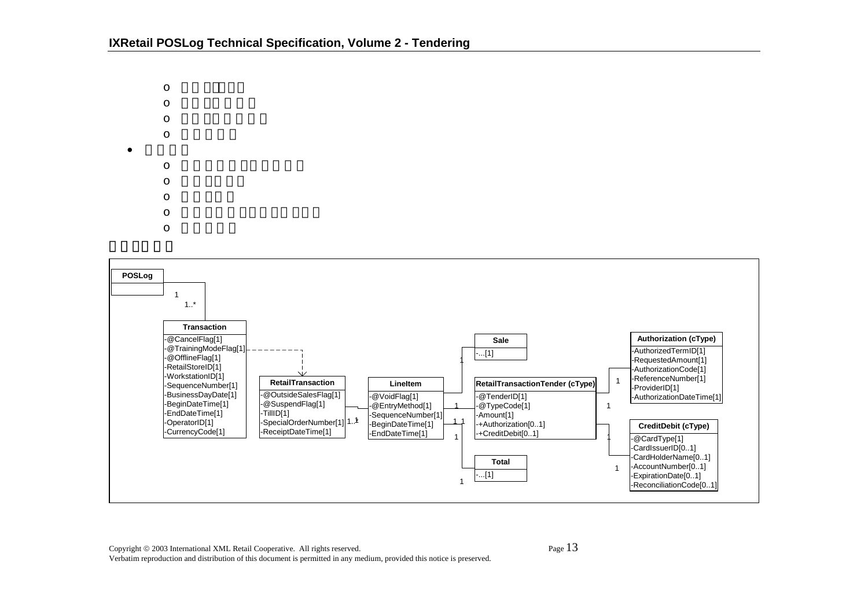



Copyright 2003 International XML Retail Cooperative. All rights reserved. Page 13 Verbatim reproduction and distribution of this document is permitted in any medium, provided this notice is preserved.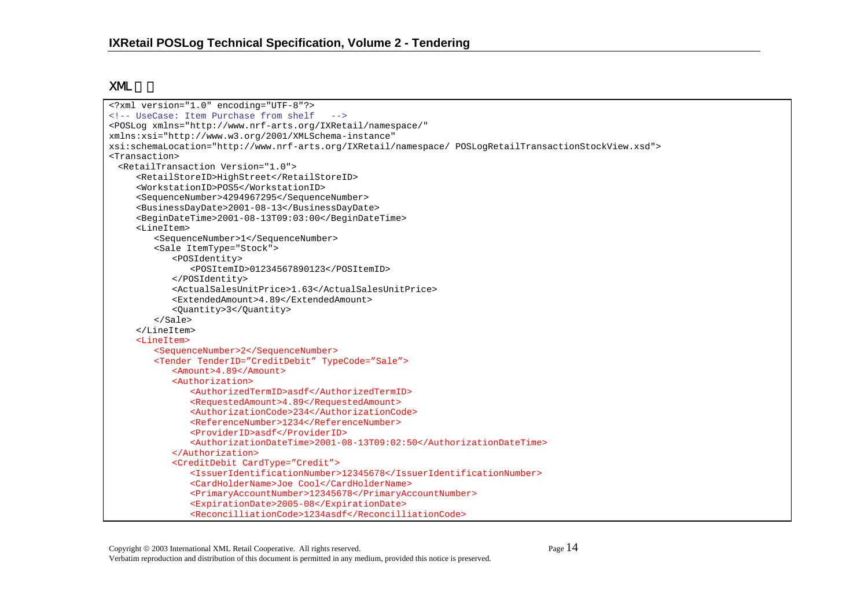#### $XM$

```
<?xml version="1.0" encoding="UTF-8"?> 
<!-- UseCase: Item Purchase from shelf --> <POSLog xmlns="http://www.nrf-arts.org/IXRetail/namespace/" 
xmlns:xsi="http://www.w3.org/2001/XMLSchema-instance" 
xsi:schemaLocation="http://www.nrf-arts.org/IXRetail/namespace/ POSLogRetailTransactionStockView.xsd"> 
<Transaction>  <RetailTransaction Version="1.0">  <RetailStoreID>HighStreet</RetailStoreID> 
      <WorkstationID>POS5</WorkstationID> 
      <SequenceNumber>4294967295</SequenceNumber> 
      <BusinessDayDate>2001-08-13</BusinessDayDate> 
      <BeginDateTime>2001-08-13T09:03:00</BeginDateTime> 
      <LineItem>  <SequenceNumber>1</SequenceNumber> 
         <Sale ItemType="Stock"> 
             <POSIdentity> 
                 <POSItemID>01234567890123</POSItemID> 
             </POSIdentity> 
             <ActualSalesUnitPrice>1.63</ActualSalesUnitPrice> 
             <ExtendedAmount>4.89</ExtendedAmount> 
             <Quantity>3</Quantity> 
         </Sale> 
      </LineItem> 
      <LineItem>  <SequenceNumber>2</SequenceNumber> 
         <Tender TenderID="CreditDebit" TypeCode="Sale"> 
             <Amount>4.89</Amount> 
             <Authorization>  <AuthorizedTermID>asdf</AuthorizedTermID> 
                 <RequestedAmount>4.89</RequestedAmount> 
                 <AuthorizationCode>234</AuthorizationCode> 
                 <ReferenceNumber>1234</ReferenceNumber> 
                 <ProviderID>asdf</ProviderID> 
                 <AuthorizationDateTime>2001-08-13T09:02:50</AuthorizationDateTime> 
             </Authorization> 
             <CreditDebit CardType="Credit"> 
                 <IssuerIdentificationNumber>12345678</IssuerIdentificationNumber> 
                 <CardHolderName>Joe Cool</CardHolderName> 
                 <PrimaryAccountNumber>12345678</PrimaryAccountNumber> 
                 <ExpirationDate>2005-08</ExpirationDate> 
                 <ReconcilliationCode>1234asdf</ReconcilliationCode>
```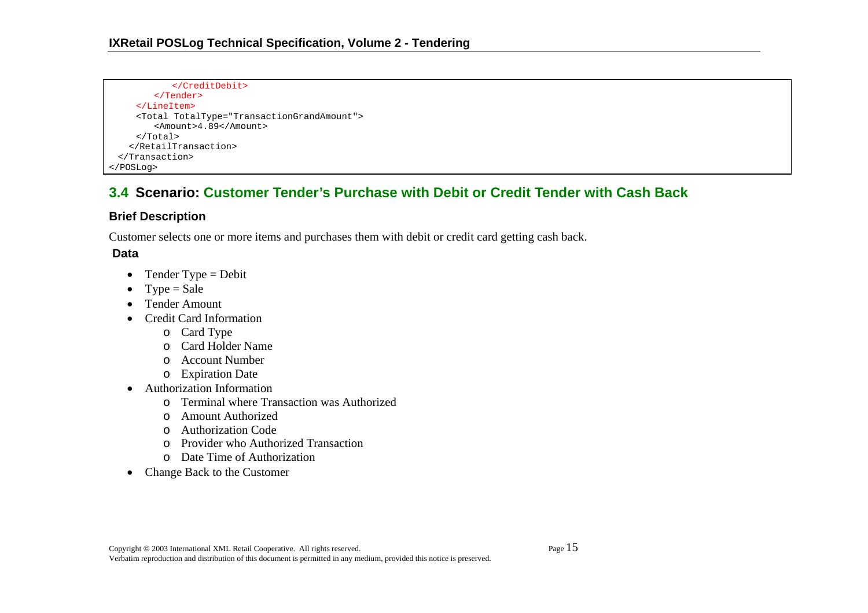```
 </CreditDebit> 
          </Tender> 
      </LineItem> 
     <Total TotalType="TransactionGrandAmount"> 
          <Amount>4.89</Amount> 
      </Total> 
    </RetailTransaction> 
  </Transaction> 
</POSLog>
```
# **3.4 Scenario: Customer Tender's Purchase with Debit or Credit Tender with Cash Back**

#### **Brief Description**

Customer selects one or more items and purchases them with debit or credit card getting cash back.

- Tender Type = Debit
- • $Type = Sale$
- •Tender Amount
- Credit Card Information
	- o Card Type
	- o Card Holder Name
	- o Account Number
	- o Expiration Date
- Authorization Information
	- o Terminal where Transaction was Authorized
	- o Amount Authorized
	- o Authorization Code
	- o Provider who Authorized Transaction
	- o Date Time of Authorization
- Change Back to the Customer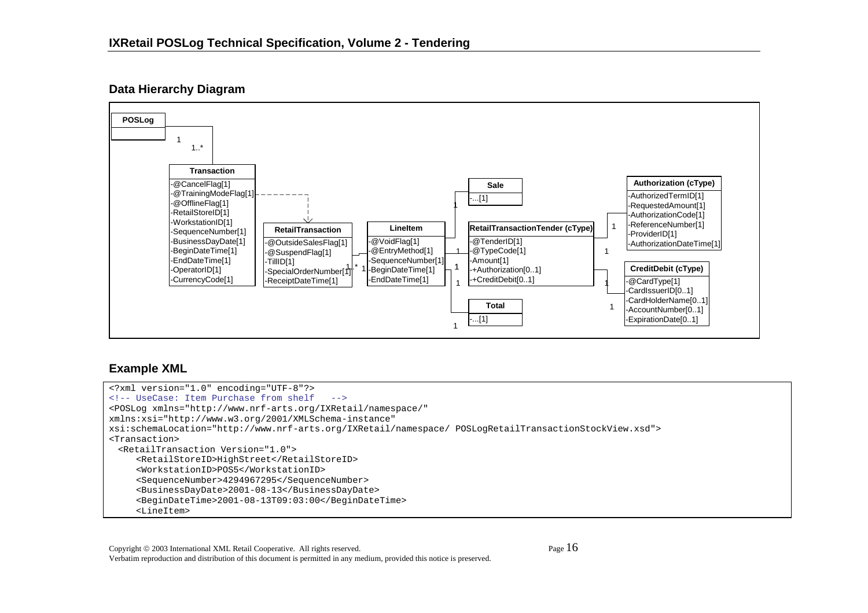

#### **Example XML**

| xml version="1.0" encoding="UTF-8"?                                                                    |
|--------------------------------------------------------------------------------------------------------|
| <!-- UseCase: Item Purchase from shelf<br> $--$                                                        |
| <poslog <="" td="" xmlns="http://www.nrf-arts.org/IXRetail/namespace/"></poslog>                       |
| xmlns:xsi="http://www.w3.org/2001/XMLSchema-instance"                                                  |
| xsi:schemaLocation="http://www.nrf-arts.org/IXRetail/namespace/ POSLogRetailTransactionStockView.xsd"> |
| <transaction></transaction>                                                                            |
| <retailtransaction version="1.0"></retailtransaction>                                                  |
| <retailstoreid>HighStreet</retailstoreid>                                                              |
| <workstationid>POS5</workstationid>                                                                    |
| <sequencenumber>4294967295</sequencenumber>                                                            |
| <businessdaydate>2001-08-13</businessdaydate>                                                          |
| <begindatetime>2001-08-13T09:03:00</begindatetime>                                                     |
| <lineitem></lineitem>                                                                                  |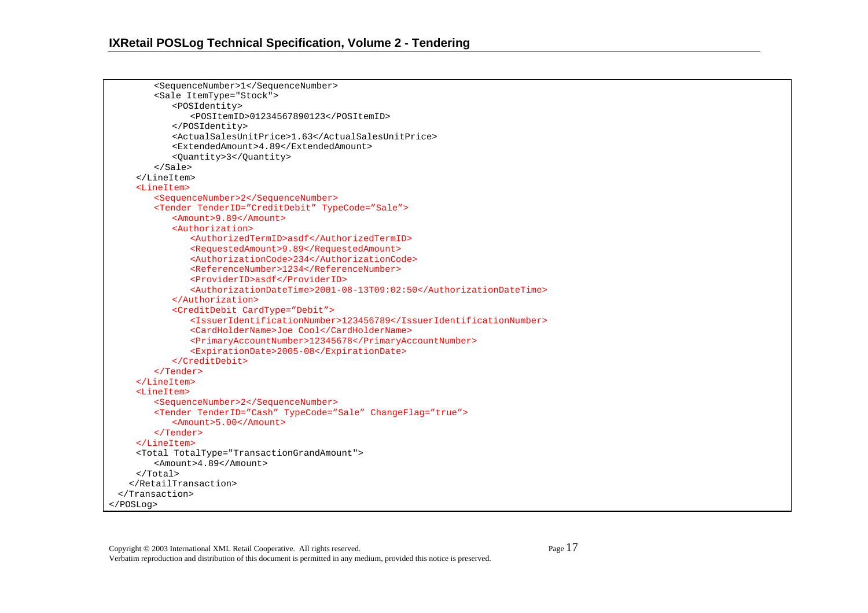```
 <SequenceNumber>1</SequenceNumber> 
         <Sale ItemType="Stock"> 
             <POSIdentity> 
                 <POSItemID>01234567890123</POSItemID> 
             </POSIdentity> 
             <ActualSalesUnitPrice>1.63</ActualSalesUnitPrice> 
             <ExtendedAmount>4.89</ExtendedAmount> 
             <Quantity>3</Quantity> 
         </Sale> 
      </LineItem> 
      <LineItem>  <SequenceNumber>2</SequenceNumber> 
         <Tender TenderID="CreditDebit" TypeCode="Sale"> 
             <Amount>9.89</Amount> 
             <Authorization>  <AuthorizedTermID>asdf</AuthorizedTermID> 
                 <RequestedAmount>9.89</RequestedAmount> 
                 <AuthorizationCode>234</AuthorizationCode> 
                 <ReferenceNumber>1234</ReferenceNumber> 
                 <ProviderID>asdf</ProviderID> 
                 <AuthorizationDateTime>2001-08-13T09:02:50</AuthorizationDateTime> 
             </Authorization> 
             <CreditDebit CardType="Debit"> 
                 <IssuerIdentificationNumber>123456789</IssuerIdentificationNumber> 
                 <CardHolderName>Joe Cool</CardHolderName> 
                 <PrimaryAccountNumber>12345678</PrimaryAccountNumber> 
                 <ExpirationDate>2005-08</ExpirationDate> 
             </CreditDebit> 
         </Tender> 
      </LineItem> 
      <LineItem>  <SequenceNumber>2</SequenceNumber> 
         <Tender TenderID="Cash" TypeCode="Sale" ChangeFlag="true"> 
             <Amount>5.00</Amount> 
         </Tender> 
      </LineItem> 
     <Total TotalType="TransactionGrandAmount"> 
         <Amount>4.89</Amount> 
      </Total> 
    </RetailTransaction> 
  </Transaction> 
</POSLog>
```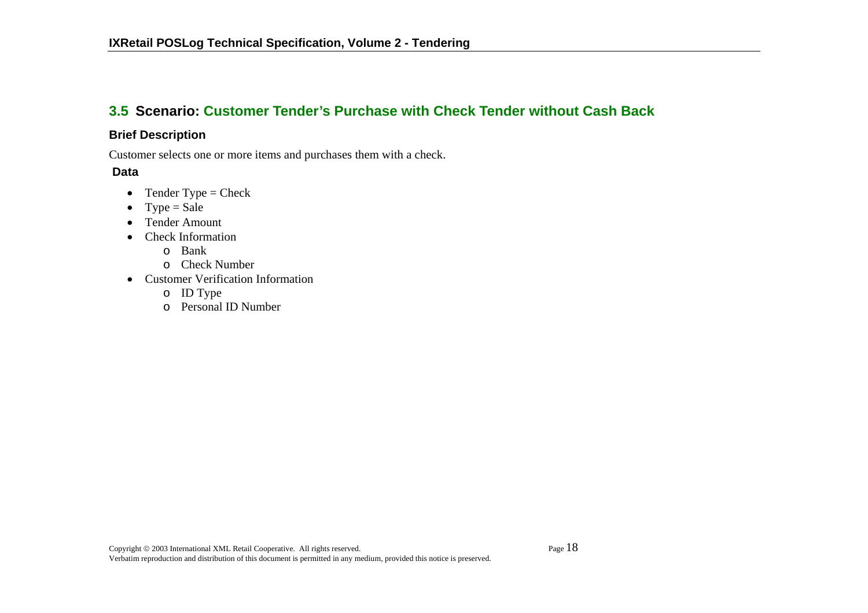# **3.5 Scenario: Customer Tender's Purchase with Check Tender without Cash Back**

#### **Brief Description**

Customer selects one or more items and purchases them with a check.

- Tender Type  $=$  Check
- $\bullet$  $Type = Sale$
- Tender Amount
- Check Information
	- o Bank
	- o Check Number
- Customer Verification Information
	- o ID Type
	- o Personal ID Number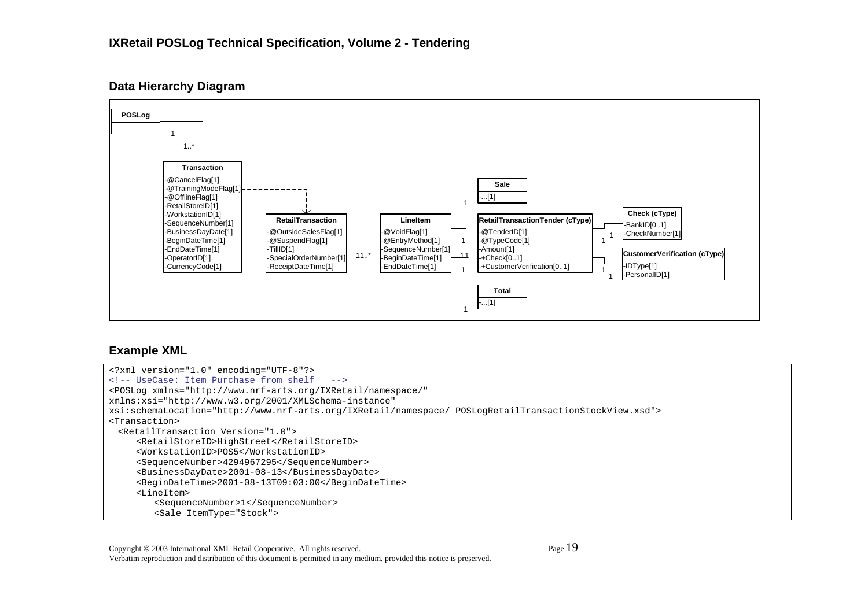

#### **Example XML**

| xml version="1.0" encoding="UTF-8"?                                                                    |
|--------------------------------------------------------------------------------------------------------|
| UseCase: Item Purchase from shelf                                                                      |
| <poslog <="" td="" xmlns="http://www.nrf-arts.org/IXRetail/namespace/"></poslog>                       |
| xmlns:xsi="http://www.w3.org/2001/XMLSchema-instance"                                                  |
| xsi:schemaLocation="http://www.nrf-arts.org/IXRetail/namespace/ POSLogRetailTransactionStockView.xsd"> |
| <transaction></transaction>                                                                            |
| <retailtransaction version="1.0"></retailtransaction>                                                  |
| <retailstoreid>HighStreet</retailstoreid>                                                              |
| <workstationid>POS5</workstationid>                                                                    |
| <sequencenumber>4294967295</sequencenumber>                                                            |
| <businessdaydate>2001-08-13</businessdaydate>                                                          |
| <begindatetime>2001-08-13T09:03:00</begindatetime>                                                     |
| <lineitem></lineitem>                                                                                  |
| <sequencenumber>1</sequencenumber>                                                                     |
| <sale itemtype="Stock"></sale>                                                                         |

Copyright 2003 International XML Retail Cooperative. All rights reserved. Page 19 Verbatim reproduction and distribution of this document is permitted in any medium, provided this notice is preserved.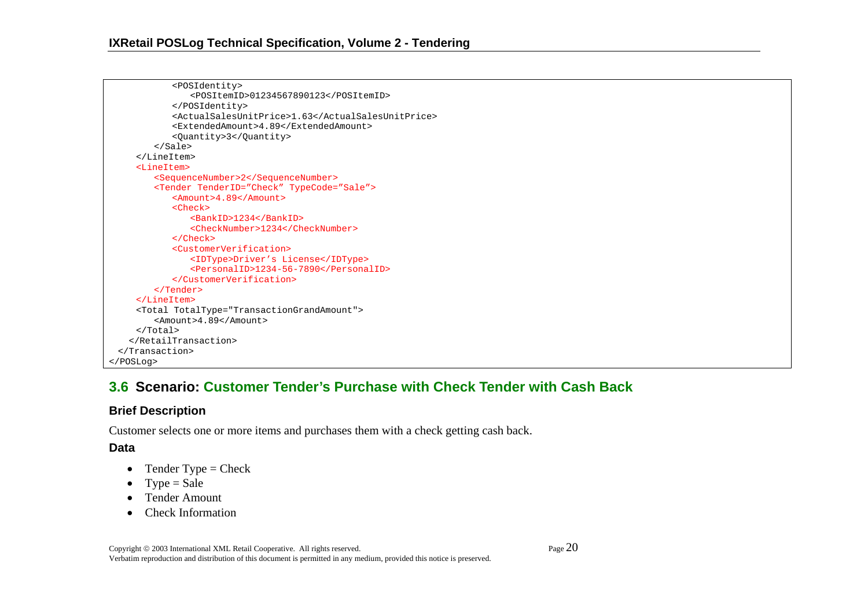```
 <POSIdentity> 
                 <POSItemID>01234567890123</POSItemID> 
             </POSIdentity> 
             <ActualSalesUnitPrice>1.63</ActualSalesUnitPrice> 
             <ExtendedAmount>4.89</ExtendedAmount> 
             <Quantity>3</Quantity> 
         </Sale> 
      </LineItem> 
      <LineItem>  <SequenceNumber>2</SequenceNumber> 
         <Tender TenderID="Check" TypeCode="Sale"> 
             <Amount>4.89</Amount> 
             <Check>  <BankID>1234</BankID> 
                 <CheckNumber>1234</CheckNumber> 
             </Check> 
             <CustomerVerification>  <IDType>Driver's License</IDType> 
                 <PersonalID>1234-56-7890</PersonalID> 
             </CustomerVerification> 
         </Tender> 
      </LineItem> 
     <Total TotalType="TransactionGrandAmount"> 
         <Amount>4.89</Amount> 
      </Total> 
    </RetailTransaction> 
  </Transaction> 
</POSLog>
```
# **3.6 Scenario: Customer Tender's Purchase with Check Tender with Cash Back**

## **Brief Description**

Customer selects one or more items and purchases them with a check getting cash back.

## **Data**

- Tender Type  $=$  Check
- $\bullet$  $Type = Sale$
- Tender Amount
- Check Information

Copyright 2003 International XML Retail Cooperative. All rights reserved. Page 20 Verbatim reproduction and distribution of this document is permitted in any medium, provided this notice is preserved.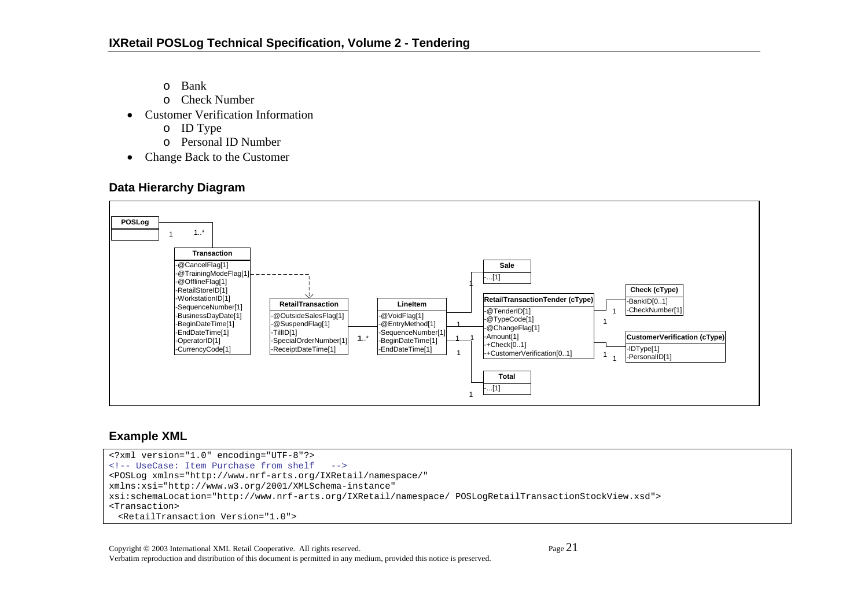- oBank
- o Check Number
- Customer Verification Information
	- o ID Type
	- o Personal ID Number
- Change Back to the Customer



#### **Example XML**

<?xml version="1.0" encoding="UTF-8"?> <!-- UseCase: Item Purchase from shelf --> <POSLog xmlns="http://www.nrf-arts.org/IXRetail/namespace/" xmlns:xsi="http://www.w3.org/2001/XMLSchema-instance" xsi:schemaLocation="http://www.nrf-arts.org/IXRetail/namespace/ POSLogRetailTransactionStockView.xsd"> <Transaction> <RetailTransaction Version="1.0">

Copyright 2003 International XML Retail Cooperative. All rights reserved. Page 21

Verbatim reproduction and distribution of this document is permitted in any medium, provided this notice is preserved.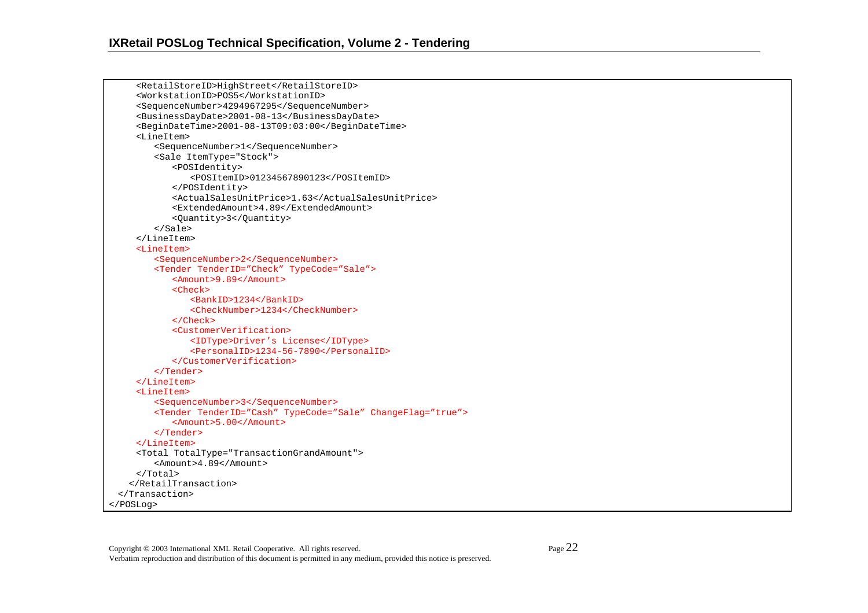```
 <RetailStoreID>HighStreet</RetailStoreID> 
      <WorkstationID>POS5</WorkstationID> 
      <SequenceNumber>4294967295</SequenceNumber> 
      <BusinessDayDate>2001-08-13</BusinessDayDate> 
      <BeginDateTime>2001-08-13T09:03:00</BeginDateTime> 
      <LineItem>  <SequenceNumber>1</SequenceNumber> 
          <Sale ItemType="Stock"> 
             <POSIdentity> 
                 <POSItemID>01234567890123</POSItemID> 
             </POSIdentity> 
             <ActualSalesUnitPrice>1.63</ActualSalesUnitPrice> 
             <ExtendedAmount>4.89</ExtendedAmount> 
             <Quantity>3</Quantity> 
          </Sale> 
      </LineItem> 
      <LineItem>  <SequenceNumber>2</SequenceNumber> 
          <Tender TenderID="Check" TypeCode="Sale"> 
             <Amount>9.89</Amount> 
             <Check>  <BankID>1234</BankID> 
                 <CheckNumber>1234</CheckNumber> 
             </Check> 
             <CustomerVerification>  <IDType>Driver's License</IDType> 
                 <PersonalID>1234-56-7890</PersonalID> 
             </CustomerVerification> 
          </Tender> 
      </LineItem> 
      <LineItem>  <SequenceNumber>3</SequenceNumber> 
          <Tender TenderID="Cash" TypeCode="Sale" ChangeFlag="true"> 
             <Amount>5.00</Amount> 
         </Tender> 
      </LineItem> 
     <Total TotalType="TransactionGrandAmount"> 
          <Amount>4.89</Amount> 
      </Total> 
    </RetailTransaction> 
  </Transaction> 
</POSLog>
```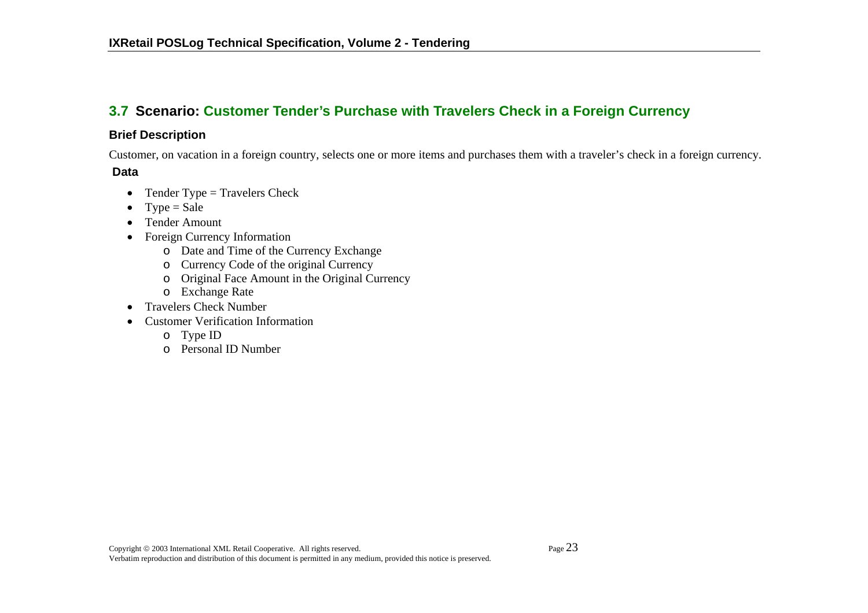# **3.7 Scenario: Customer Tender's Purchase with Travelers Check in a Foreign Currency**

#### **Brief Description**

Customer, on vacation in a foreign country, selects one or more items and purchases them with a traveler's check in a foreign currency.

- Tender Type = Travelers Check
- • $Type = Sale$
- Tender Amount
- Foreign Currency Information
	- o Date and Time of the Currency Exchange
	- o Currency Code of the original Currency
	- o Original Face Amount in the Original Currency
	- o Exchange Rate
- Travelers Check Number
- Customer Verification Information
	- o Type ID
	- o Personal ID Number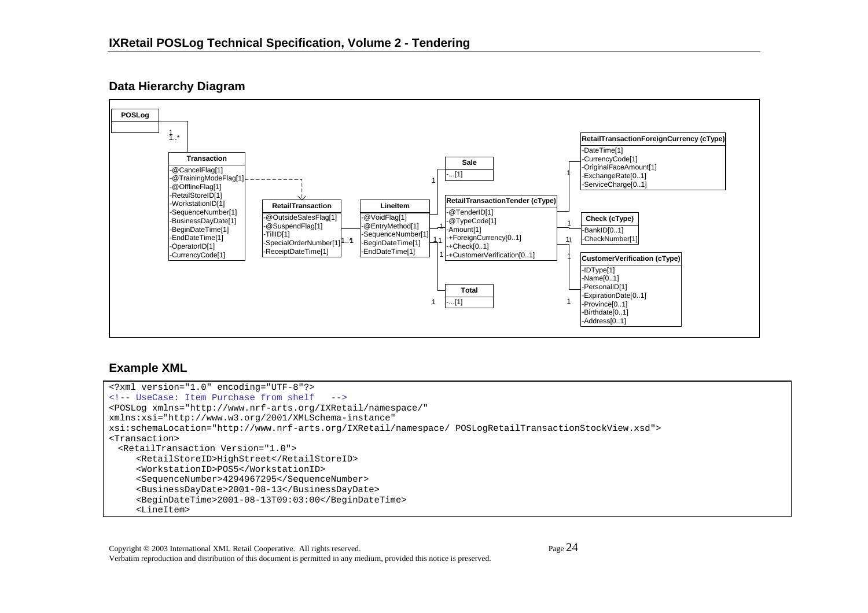

#### **Example XML**

| xml version="1.0" encoding="UTF-8"?                                                                    |
|--------------------------------------------------------------------------------------------------------|
| <!-- UseCase: Item Purchase from shelf<br> $--$                                                        |
| <poslog <="" td="" xmlns="http://www.nrf-arts.org/IXRetail/namespace/"></poslog>                       |
| xmlns:xsi="http://www.w3.org/2001/XMLSchema-instance"                                                  |
| xsi:schemaLocation="http://www.nrf-arts.org/IXRetail/namespace/ POSLogRetailTransactionStockView.xsd"> |
| <transaction></transaction>                                                                            |
| <retailtransaction version="1.0"></retailtransaction>                                                  |
| <retailstoreid>HighStreet</retailstoreid>                                                              |
| <workstationid>POS5</workstationid>                                                                    |
| <sequencenumber>4294967295</sequencenumber>                                                            |
| <businessdaydate>2001-08-13</businessdaydate>                                                          |
| <begindatetime>2001-08-13T09:03:00</begindatetime>                                                     |
| <lineitem></lineitem>                                                                                  |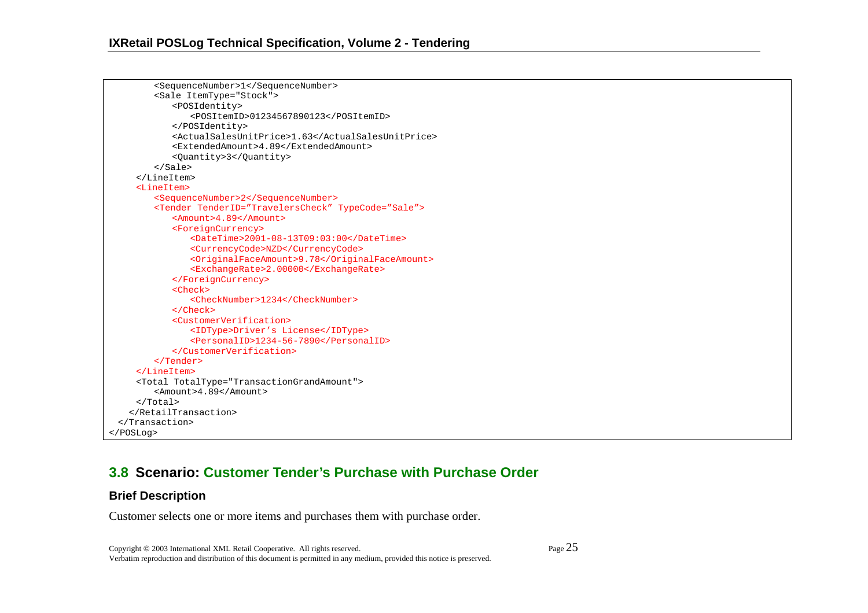```
 <SequenceNumber>1</SequenceNumber> 
         <Sale ItemType="Stock"> 
             <POSIdentity> 
                 <POSItemID>01234567890123</POSItemID> 
             </POSIdentity> 
             <ActualSalesUnitPrice>1.63</ActualSalesUnitPrice> 
             <ExtendedAmount>4.89</ExtendedAmount> 
             <Quantity>3</Quantity> 
         </Sale> 
      </LineItem> 
      <LineItem>  <SequenceNumber>2</SequenceNumber> 
         <Tender TenderID="TravelersCheck" TypeCode="Sale"> 
             <Amount>4.89</Amount> 
             <ForeignCurrency> 
                 <DateTime>2001-08-13T09:03:00</DateTime> 
                 <CurrencyCode>NZD</CurrencyCode> 
                 <OriginalFaceAmount>9.78</OriginalFaceAmount> 
                 <ExchangeRate>2.00000</ExchangeRate> 
             </ForeignCurrency> 
             <Check>  <CheckNumber>1234</CheckNumber> 
             </Check> 
 <CustomerVerification> 
                 <IDType>Driver's License</IDType> 
                 <PersonalID>1234-56-7890</PersonalID> 
             </CustomerVerification> 
         </Tender> 
      </LineItem> 
     <Total TotalType="TransactionGrandAmount"> 
         <Amount>4.89</Amount> 
      </Total> 
    </RetailTransaction> 
  </Transaction> 
</POSLog>
```
## **3.8 Scenario: Customer Tender's Purchase with Purchase Order**

#### **Brief Description**

Customer selects one or more items and purchases them with purchase order.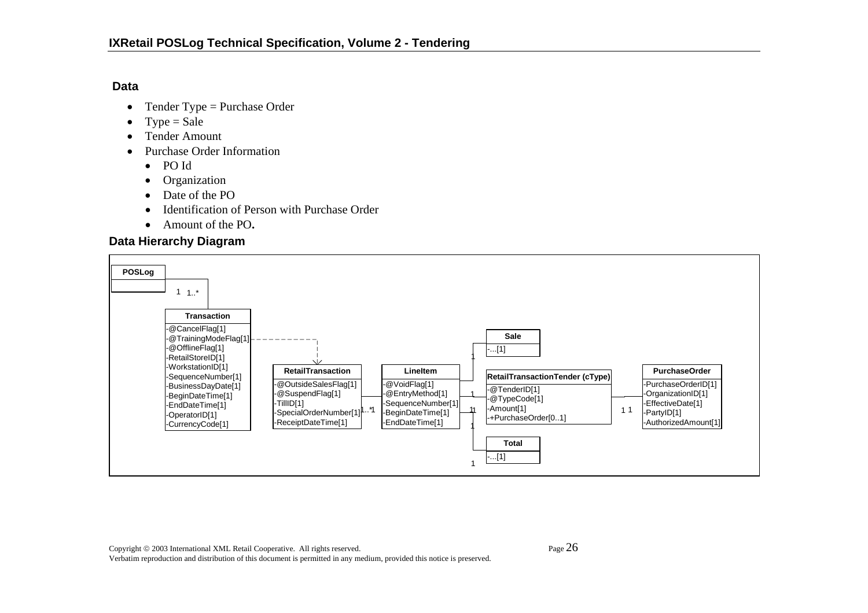#### **Data**

- $\bullet$ Tender Type = Purchase Order
- • $Type = Sale$
- •Tender Amount
- Purchase Order Information
	- PO Id
	- •Organization
	- •Date of the PO
	- •Identification of Person with Purchase Order
	- Amount of the PO**.**

#### **Data Hierarchy Diagram**



Copyright 2003 International XML Retail Cooperative. All rights reserved. Page 26 Verbatim reproduction and distribution of this document is permitted in any medium, provided this notice is preserved.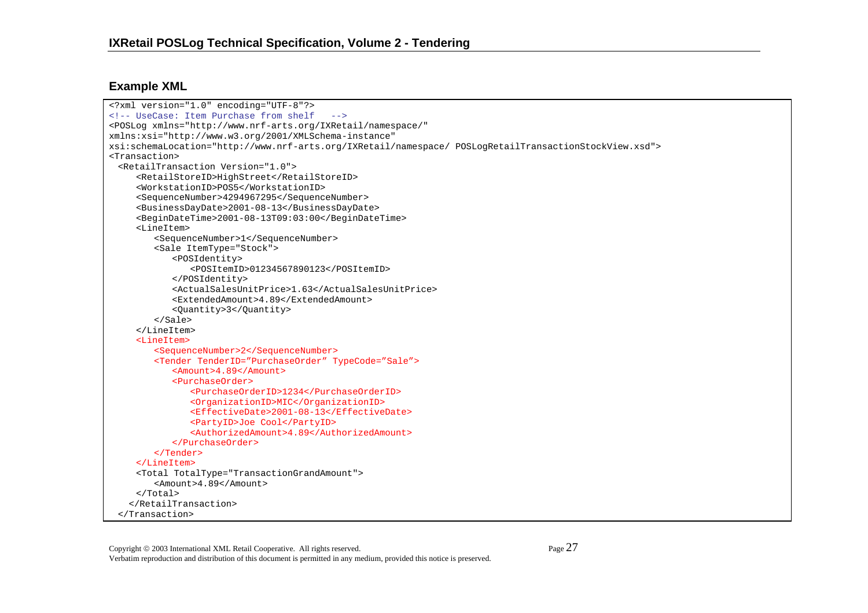#### **Example XML**

```
<?xml version="1.0" encoding="UTF-8"?> 
<!-- UseCase: Item Purchase from shelf --> <POSLog xmlns="http://www.nrf-arts.org/IXRetail/namespace/" 
xmlns:xsi="http://www.w3.org/2001/XMLSchema-instance" 
xsi:schemaLocation="http://www.nrf-arts.org/IXRetail/namespace/ POSLogRetailTransactionStockView.xsd"> 
<Transaction>  <RetailTransaction Version="1.0">  <RetailStoreID>HighStreet</RetailStoreID> 
      <WorkstationID>POS5</WorkstationID> 
      <SequenceNumber>4294967295</SequenceNumber> 
      <BusinessDayDate>2001-08-13</BusinessDayDate> 
      <BeginDateTime>2001-08-13T09:03:00</BeginDateTime> 
      <LineItem>  <SequenceNumber>1</SequenceNumber> 
          <Sale ItemType="Stock"> 
             <POSIdentity> 
                 <POSItemID>01234567890123</POSItemID> 
             </POSIdentity> 
             <ActualSalesUnitPrice>1.63</ActualSalesUnitPrice> 
             <ExtendedAmount>4.89</ExtendedAmount> 
             <Quantity>3</Quantity> 
          </Sale> 
      </LineItem> 
      <LineItem>  <SequenceNumber>2</SequenceNumber> 
          <Tender TenderID="PurchaseOrder" TypeCode="Sale"> 
             <Amount>4.89</Amount> 
             <PurchaseOrder>  <PurchaseOrderID>1234</PurchaseOrderID> 
                 <OrganizationID>MIC</OrganizationID> 
                 <EffectiveDate>2001-08-13</EffectiveDate> 
                 <PartyID>Joe Cool</PartyID> 
                 <AuthorizedAmount>4.89</AuthorizedAmount> 
             </PurchaseOrder> 
          </Tender> 
      </LineItem> 
     <Total TotalType="TransactionGrandAmount"> 
          <Amount>4.89</Amount> 
      </Total> 
     </RetailTransaction> 
  </Transaction>
```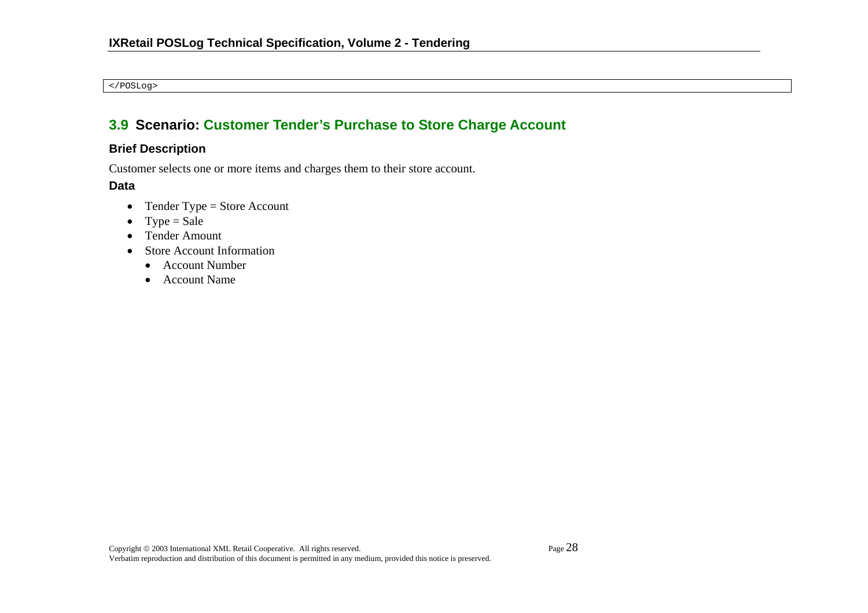</POSLog>

## **3.9 Scenario: Customer Tender's Purchase to Store Charge Account**

#### **Brief Description**

Customer selects one or more items and charges them to their store account.

- Tender Type = Store Account
- $\bullet$  $Type = Sale$
- Tender Amount
- Store Account Information
	- Account Number
	- Account Name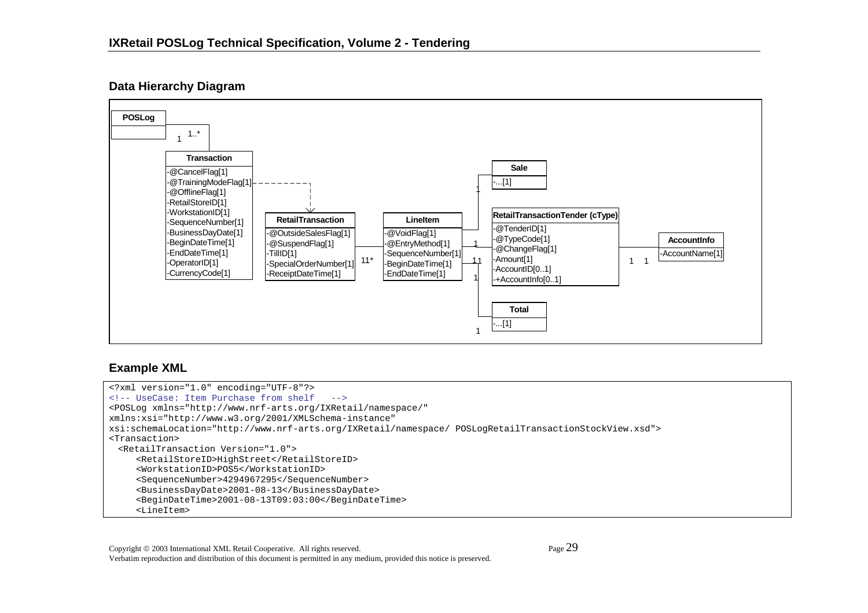

#### **Example XML**

| xml version="1.0" encoding="UTF-8"?                                                                    |
|--------------------------------------------------------------------------------------------------------|
| <!-- UseCase: Item Purchase from shelf<br> $--$                                                        |
| <poslog <="" td="" xmlns="http://www.nrf-arts.org/IXRetail/namespace/"></poslog>                       |
| xmlns:xsi="http://www.w3.org/2001/XMLSchema-instance"                                                  |
| xsi:schemaLocation="http://www.nrf-arts.org/IXRetail/namespace/ POSLogRetailTransactionStockView.xsd"> |
| <transaction></transaction>                                                                            |
| <retailtransaction version="1.0"></retailtransaction>                                                  |
| <retailstoreid>HighStreet</retailstoreid>                                                              |
| <workstationid>POS5</workstationid>                                                                    |
| <sequencenumber>4294967295</sequencenumber>                                                            |
| <businessdaydate>2001-08-13</businessdaydate>                                                          |
| <begindatetime>2001-08-13T09:03:00</begindatetime>                                                     |
| <lineitem></lineitem>                                                                                  |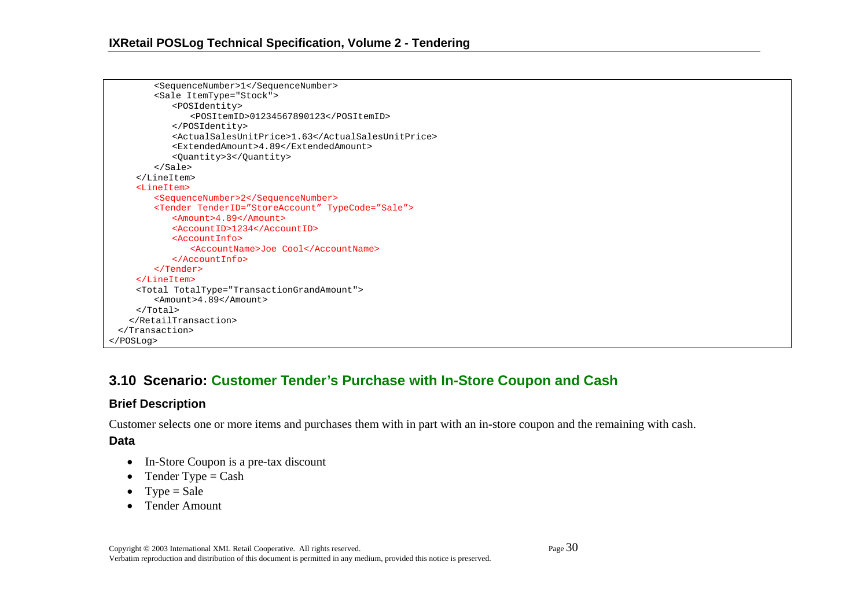```
 <SequenceNumber>1</SequenceNumber> 
         <Sale ItemType="Stock"> 
             <POSIdentity> 
                 <POSItemID>01234567890123</POSItemID> 
             </POSIdentity> 
             <ActualSalesUnitPrice>1.63</ActualSalesUnitPrice> 
             <ExtendedAmount>4.89</ExtendedAmount> 
             <Quantity>3</Quantity> 
         </Sale> 
      </LineItem> 
      <LineItem>  <SequenceNumber>2</SequenceNumber> 
         <Tender TenderID="StoreAccount" TypeCode="Sale"> 
             <Amount>4.89</Amount> 
             <AccountID>1234</AccountID> 
             <AccountInfo>  <AccountName>Joe Cool</AccountName> 
             </AccountInfo> 
         </Tender> 
      </LineItem> 
     <Total TotalType="TransactionGrandAmount"> 
         <Amount>4.89</Amount> 
      </Total> 
    </RetailTransaction> 
  </Transaction> 
</POSLog>
```
# **3.10 Scenario: Customer Tender's Purchase with In-Store Coupon and Cash**

#### **Brief Description**

Customer selects one or more items and purchases them with in part with an in-store coupon and the remaining with cash.

**Data** 

- In-Store Coupon is a pre-tax discount
- Tender Type  $=$  Cash
- Type  $=$  Sale
- Tender Amount

Copyright 2003 International XML Retail Cooperative. All rights reserved. Page 30 Verbatim reproduction and distribution of this document is permitted in any medium, provided this notice is preserved.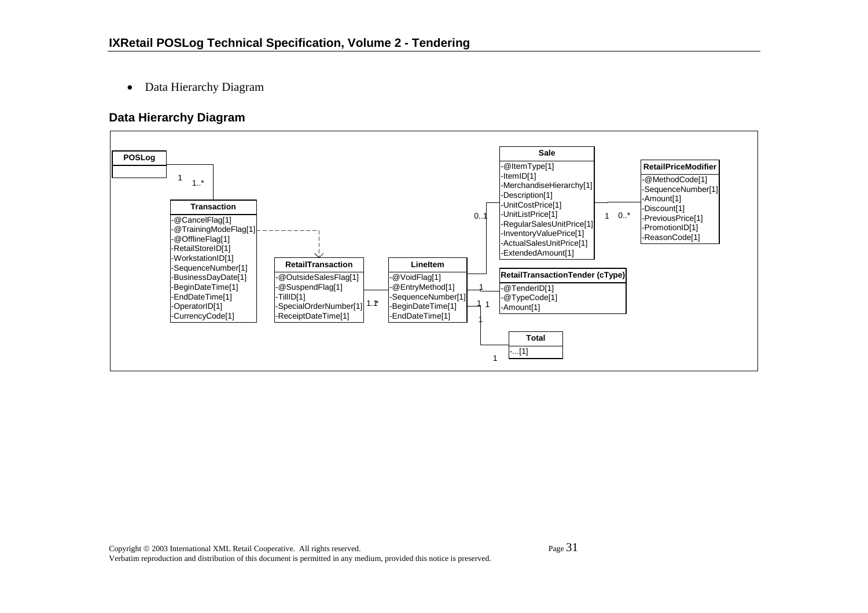#### **Data Hierarchy Diagram**

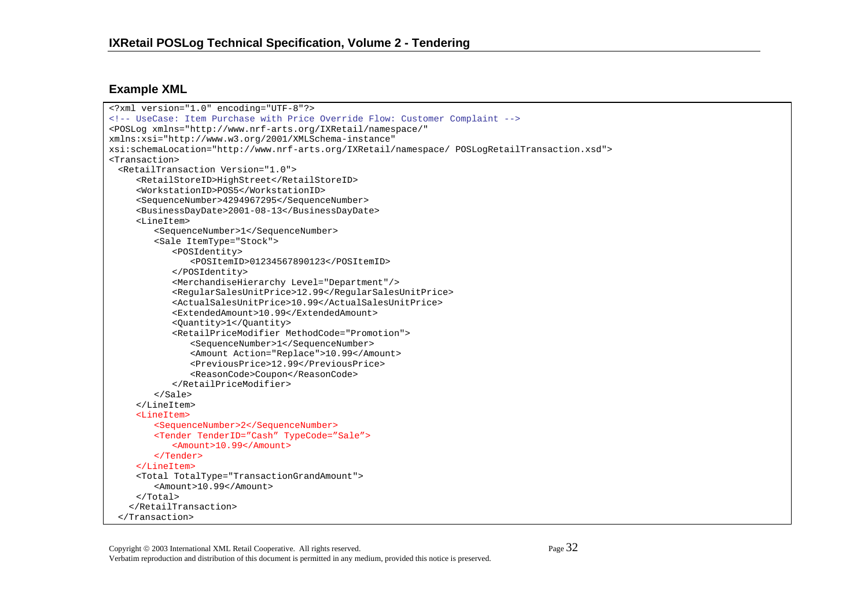#### **Example XML**

```
<?xml version="1.0" encoding="UTF-8"?> 
<!-- UseCase: Item Purchase with Price Override Flow: Customer Complaint --> 
<POSLog xmlns="http://www.nrf-arts.org/IXRetail/namespace/" 
xmlns:xsi="http://www.w3.org/2001/XMLSchema-instance" 
xsi:schemaLocation="http://www.nrf-arts.org/IXRetail/namespace/ POSLogRetailTransaction.xsd"> 
<Transaction>  <RetailTransaction Version="1.0">  <RetailStoreID>HighStreet</RetailStoreID> 
      <WorkstationID>POS5</WorkstationID> 
      <SequenceNumber>4294967295</SequenceNumber> 
      <BusinessDayDate>2001-08-13</BusinessDayDate> 
      <LineItem> <SequenceNumber>1</SequenceNumber> 
         <Sale ItemType="Stock"> 
             <POSIdentity> 
                 <POSItemID>01234567890123</POSItemID> 
             </POSIdentity> 
             <MerchandiseHierarchy Level="Department"/> 
             <RegularSalesUnitPrice>12.99</RegularSalesUnitPrice> 
             <ActualSalesUnitPrice>10.99</ActualSalesUnitPrice> 
             <ExtendedAmount>10.99</ExtendedAmount> 
             <Quantity>1</Quantity> 
 <RetailPriceModifier MethodCode="Promotion"> 
                 <SequenceNumber>1</SequenceNumber> 
                 <Amount Action="Replace">10.99</Amount> 
                 <PreviousPrice>12.99</PreviousPrice> 
                 <ReasonCode>Coupon</ReasonCode> 
             </RetailPriceModifier> 
         </Sale> 
      </LineItem> 
      <LineItem>  <SequenceNumber>2</SequenceNumber> 
         <Tender TenderID="Cash" TypeCode="Sale"> 
             <Amount>10.99</Amount> 
         </Tender> 
      </LineItem> 
     <Total TotalType="TransactionGrandAmount"> 
         <Amount>10.99</Amount> 
      </Total> 
     </RetailTransaction> 
  </Transaction>
```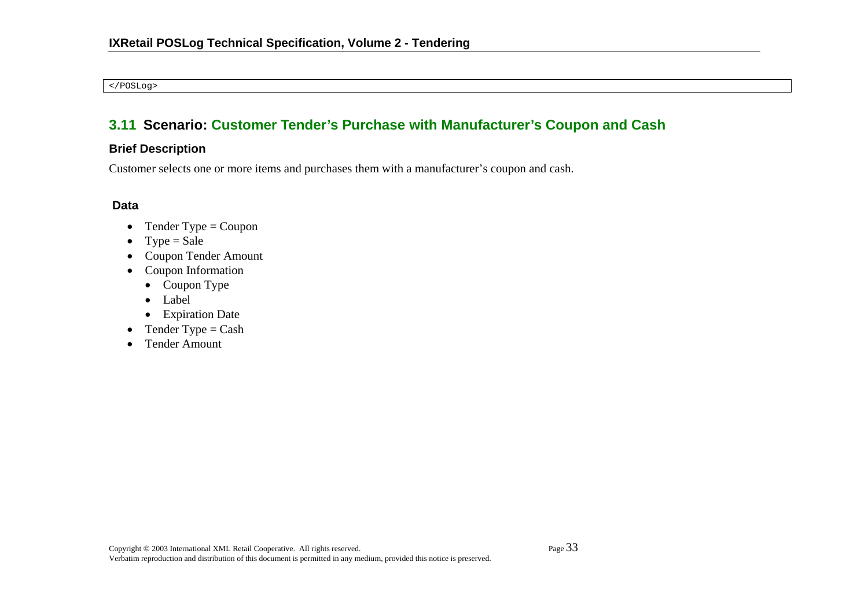</POSLog>

## **3.11 Scenario: Customer Tender's Purchase with Manufacturer's Coupon and Cash**

#### **Brief Description**

Customer selects one or more items and purchases them with a manufacturer's coupon and cash.

- Tender Type = Coupon
- $\bullet$  $Type = Sale$
- Coupon Tender Amount
- Coupon Information
	- Coupon Type
	- Label
	- Expiration Date
- Tender Type  $=$  Cash
- Tender Amount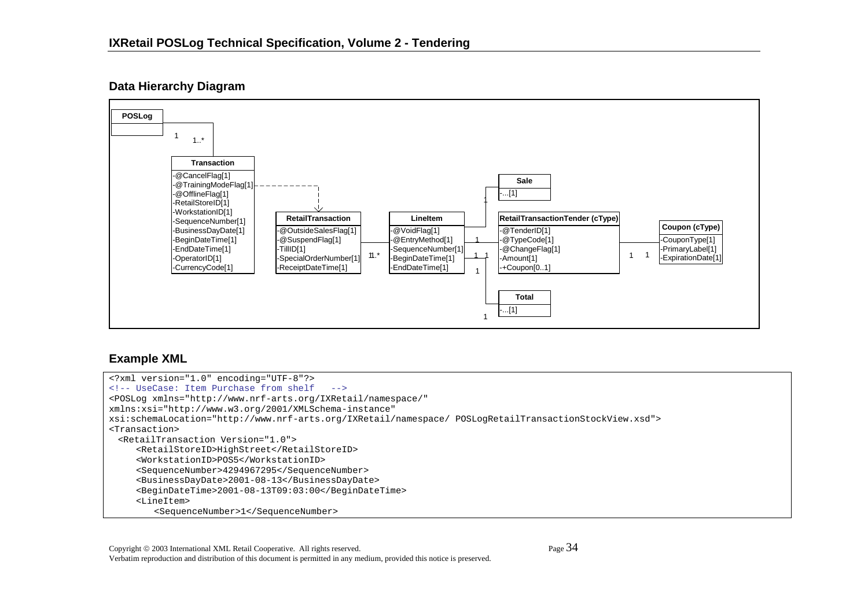

#### **Example XML**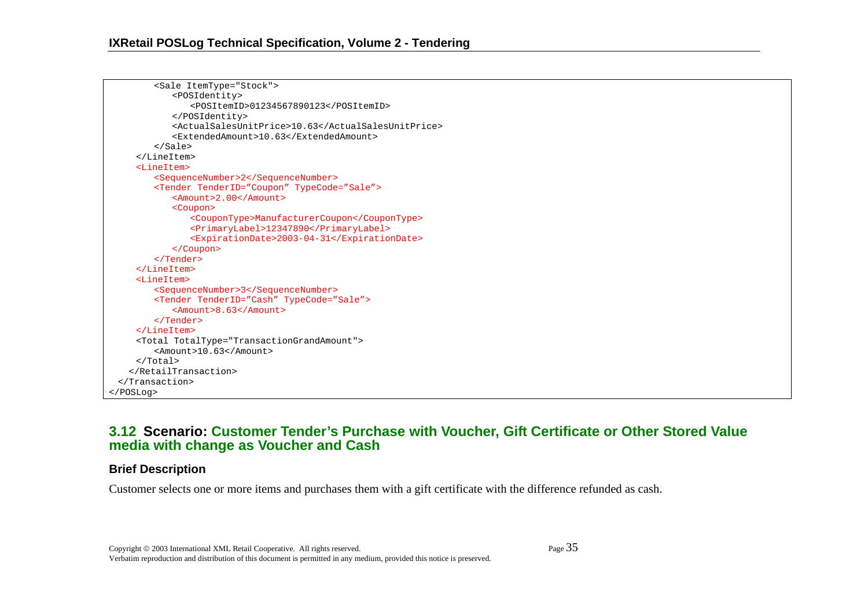```
 <Sale ItemType="Stock"> 
             <POSIdentity> 
                 <POSItemID>01234567890123</POSItemID> 
             </POSIdentity> 
             <ActualSalesUnitPrice>10.63</ActualSalesUnitPrice> 
             <ExtendedAmount>10.63</ExtendedAmount> 
         </Sale> 
      </LineItem> 
      <LineItem>  <SequenceNumber>2</SequenceNumber> 
         <Tender TenderID="Coupon" TypeCode="Sale"> 
             <Amount>2.00</Amount> 
             <Coupon> 
                 <CouponType>ManufacturerCoupon</CouponType> 
                 <PrimaryLabel>12347890</PrimaryLabel> 
                 <ExpirationDate>2003-04-31</ExpirationDate> 
             </Coupon> 
         </Tender> 
      </LineItem> 
      <LineItem>  <SequenceNumber>3</SequenceNumber> 
         <Tender TenderID="Cash" TypeCode="Sale"> 
             <Amount>8.63</Amount> 
         </Tender> 
      </LineItem> 
     <Total TotalType="TransactionGrandAmount"> 
         <Amount>10.63</Amount> 
      </Total> 
    </RetailTransaction> 
  </Transaction> 
</POSLog>
```
## **3.12 Scenario: Customer Tender's Purchase with Voucher, Gift Certificate or Other Stored Value media with change as Voucher and Cash**

#### **Brief Description**

Customer selects one or more items and purchases them with a gift certificate with the difference refunded as cash.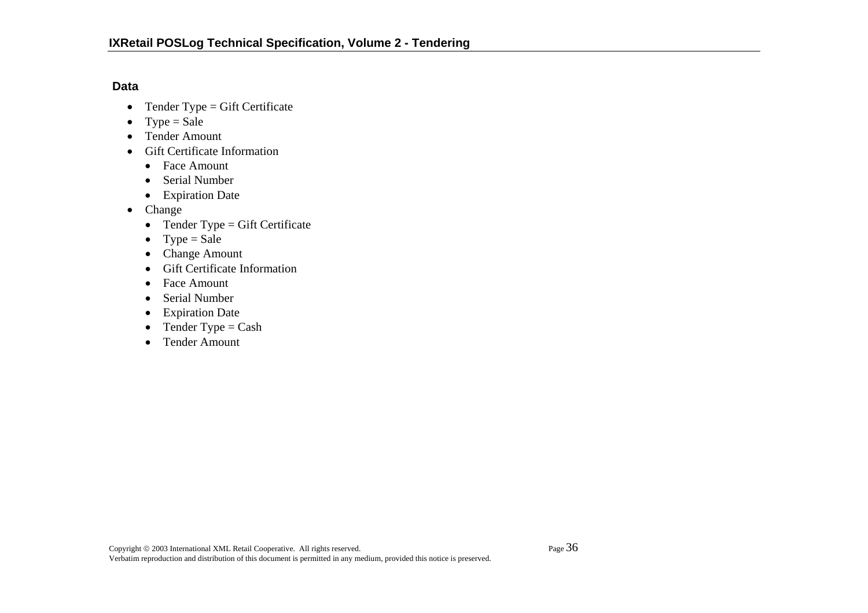- Tender Type = Gift Certificate
- Type  $=$  Sale
- Tender Amount
- Gift Certificate Information
	- Face Amount
	- Serial Number
	- Expiration Date
- Change
	- Tender Type = Gift Certificate
	- • $Type = Sale$
	- Change Amount
	- •Gift Certificate Information
	- •Face Amount
	- •Serial Number
	- Expiration Date
	- Tender Type  $=$  Cash
	- •Tender Amount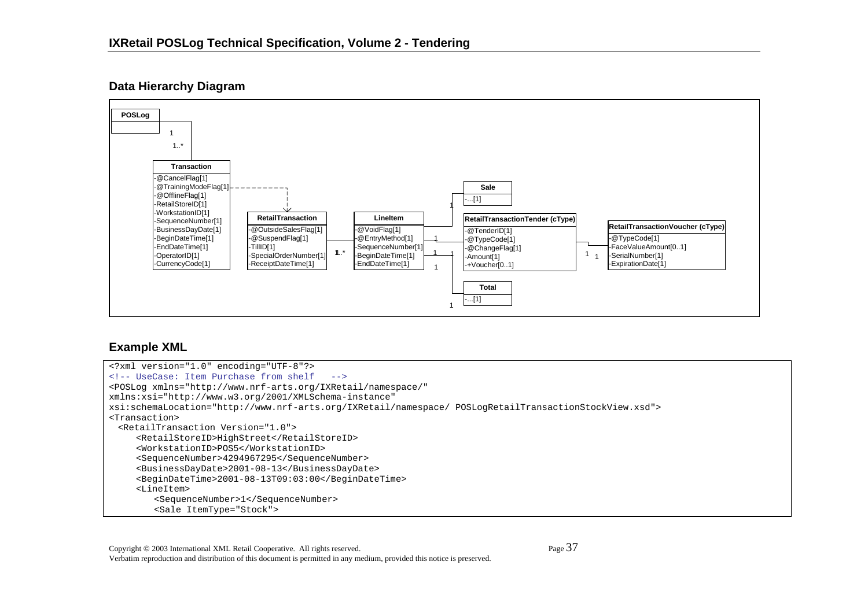

# **Example XML**

| xml version="1.0" encoding="UTF-8"?                                                                    |
|--------------------------------------------------------------------------------------------------------|
| <!-- UseCase: Item Purchase from shelf<br> $--$                                                        |
| <poslog <="" td="" xmlns="http://www.nrf-arts.org/IXRetail/namespace/"></poslog>                       |
| xmlns:xsi="http://www.w3.org/2001/XMLSchema-instance"                                                  |
| xsi:schemaLocation="http://www.nrf-arts.org/IXRetail/namespace/ POSLogRetailTransactionStockView.xsd"> |
| <transaction></transaction>                                                                            |
| <retailtransaction version="1.0"></retailtransaction>                                                  |
| <retailstoreid>HighStreet</retailstoreid>                                                              |
| <workstationid>POS5</workstationid>                                                                    |
| <sequencenumber>4294967295</sequencenumber>                                                            |
| <businessdaydate>2001-08-13</businessdaydate>                                                          |
| <begindatetime>2001-08-13T09:03:00</begindatetime>                                                     |
| <lineitem></lineitem>                                                                                  |
| <sequencenumber>1</sequencenumber>                                                                     |
| <sale itemtype="Stock"></sale>                                                                         |

Copyright 2003 International XML Retail Cooperative. All rights reserved. Page 37 Verbatim reproduction and distribution of this document is permitted in any medium, provided this notice is preserved.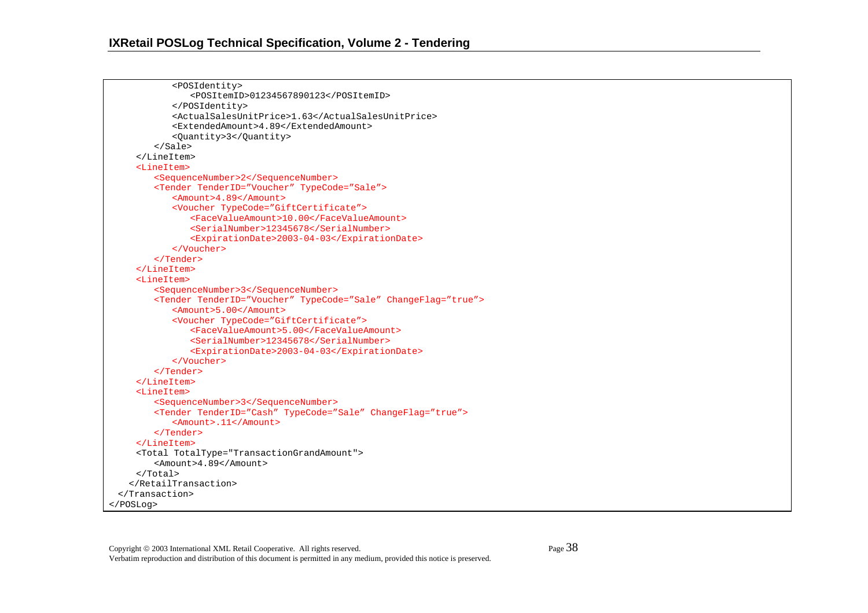```
 <POSIdentity> 
                 <POSItemID>01234567890123</POSItemID> 
             </POSIdentity> 
             <ActualSalesUnitPrice>1.63</ActualSalesUnitPrice> 
             <ExtendedAmount>4.89</ExtendedAmount> 
             <Quantity>3</Quantity> 
          </Sale> 
      </LineItem> 
      <LineItem>  <SequenceNumber>2</SequenceNumber> 
          <Tender TenderID="Voucher" TypeCode="Sale"> 
             <Amount>4.89</Amount> 
             <Voucher TypeCode="GiftCertificate"> 
                 <FaceValueAmount>10.00</FaceValueAmount> 
                 <SerialNumber>12345678</SerialNumber> 
                 <ExpirationDate>2003-04-03</ExpirationDate> 
             </Voucher> 
          </Tender> 
      </LineItem> 
      <LineItem>  <SequenceNumber>3</SequenceNumber> 
          <Tender TenderID="Voucher" TypeCode="Sale" ChangeFlag="true"> 
             <Amount>5.00</Amount> 
             <Voucher TypeCode="GiftCertificate"> 
                 <FaceValueAmount>5.00</FaceValueAmount> 
                 <SerialNumber>12345678</SerialNumber> 
                 <ExpirationDate>2003-04-03</ExpirationDate> 
             </Voucher> 
          </Tender> 
      </LineItem> 
      <LineItem>  <SequenceNumber>3</SequenceNumber> 
          <Tender TenderID="Cash" TypeCode="Sale" ChangeFlag="true"> 
             <Amount>.11</Amount> 
         </Tender> 
      </LineItem> 
     <Total TotalType="TransactionGrandAmount"> 
          <Amount>4.89</Amount> 
      </Total> 
    </RetailTransaction> 
  </Transaction> 
</POSLog>
```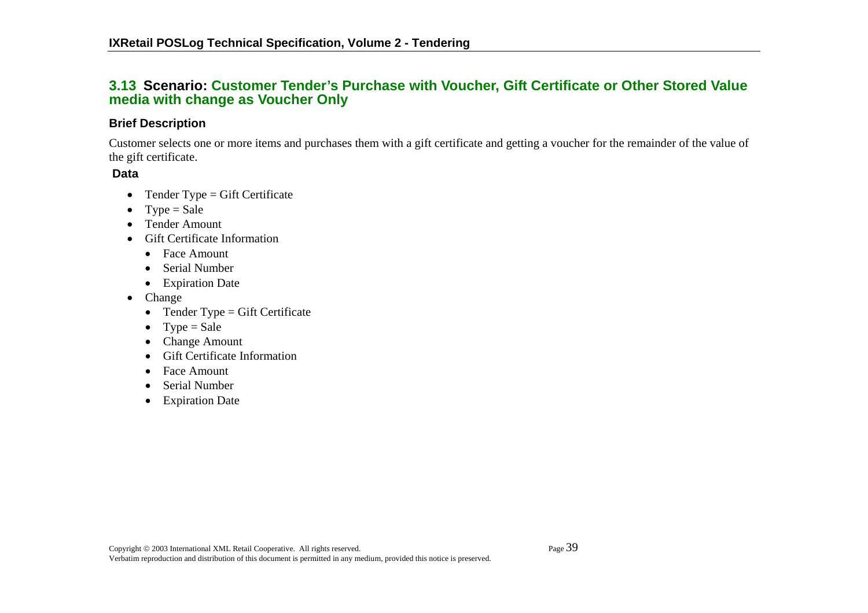# **3.13 Scenario: Customer Tender's Purchase with Voucher, Gift Certificate or Other Stored Value media with change as Voucher Only**

## **Brief Description**

Customer selects one or more items and purchases them with a gift certificate and getting a voucher for the remainder of the value of the gift certificate.

### **Data**

- Tender Type = Gift Certificate
- Type  $=$  Sale
- Tender Amount
- Gift Certificate Information
	- Face Amount
	- Serial Number
	- Expiration Date
- Change
	- Tender Type = Gift Certificate
	- Type  $=$  Sale
	- Change Amount
	- Gift Certificate Information
	- Face Amount
	- •Serial Number
	- Expiration Date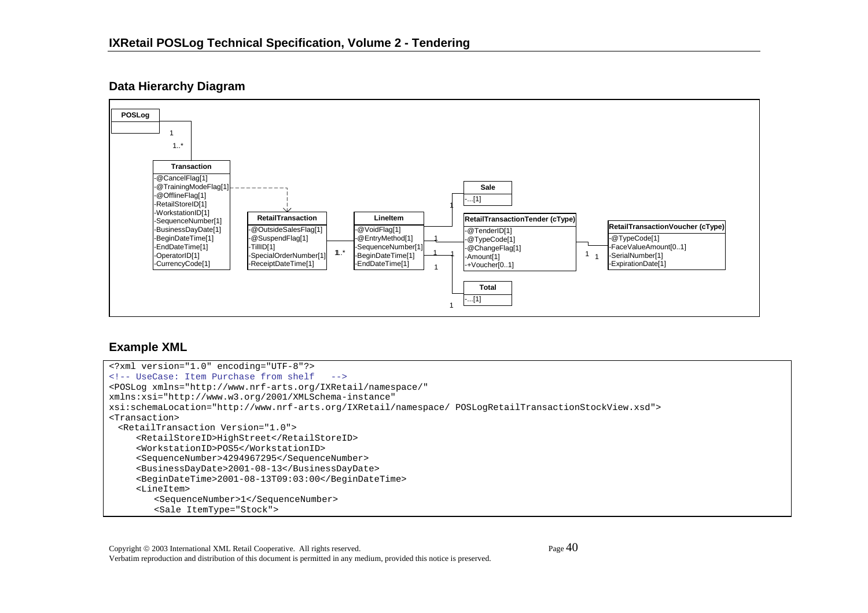

# **Example XML**

| xml version="1.0" encoding="UTF-8"?                                                                    |
|--------------------------------------------------------------------------------------------------------|
| <!-- UseCase: Item Purchase from shelf<br> $--$                                                        |
| <poslog <="" td="" xmlns="http://www.nrf-arts.org/IXRetail/namespace/"></poslog>                       |
| xmlns:xsi="http://www.w3.org/2001/XMLSchema-instance"                                                  |
| xsi:schemaLocation="http://www.nrf-arts.org/IXRetail/namespace/ POSLogRetailTransactionStockView.xsd"> |
| <transaction></transaction>                                                                            |
| <retailtransaction version="1.0"></retailtransaction>                                                  |
| <retailstoreid>HighStreet</retailstoreid>                                                              |
| <workstationid>POS5</workstationid>                                                                    |
| <sequencenumber>4294967295</sequencenumber>                                                            |
| <businessdaydate>2001-08-13</businessdaydate>                                                          |
| <begindatetime>2001-08-13T09:03:00</begindatetime>                                                     |
| <lineitem></lineitem>                                                                                  |
| <sequencenumber>1</sequencenumber>                                                                     |
| <sale itemtype="Stock"></sale>                                                                         |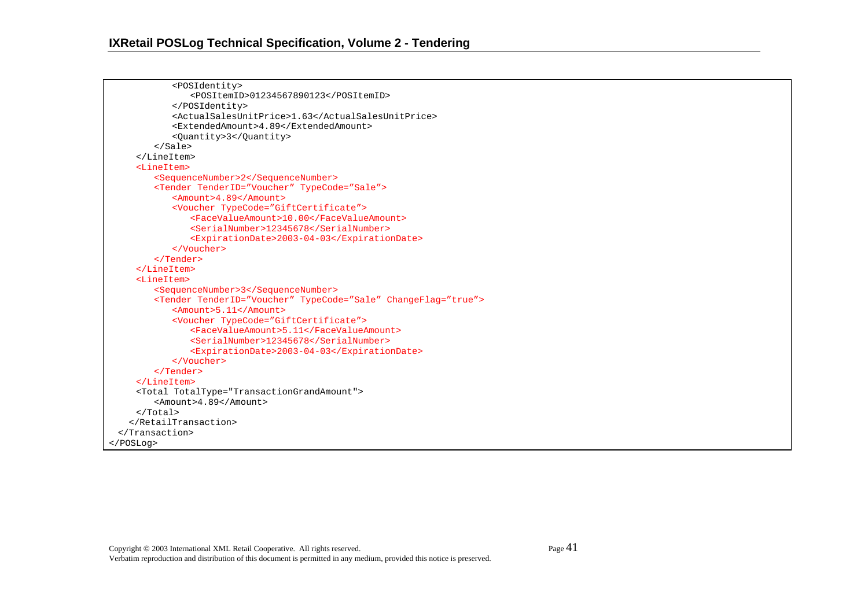```
 <POSIdentity> 
                 <POSItemID>01234567890123</POSItemID> 
             </POSIdentity> 
             <ActualSalesUnitPrice>1.63</ActualSalesUnitPrice> 
             <ExtendedAmount>4.89</ExtendedAmount> 
             <Quantity>3</Quantity> 
         </Sale> 
      </LineItem> 
      <LineItem>  <SequenceNumber>2</SequenceNumber> 
         <Tender TenderID="Voucher" TypeCode="Sale"> 
             <Amount>4.89</Amount> 
             <Voucher TypeCode="GiftCertificate"> 
                 <FaceValueAmount>10.00</FaceValueAmount> 
                 <SerialNumber>12345678</SerialNumber> 
                 <ExpirationDate>2003-04-03</ExpirationDate> 
             </Voucher> 
         </Tender> 
      </LineItem> 
      <LineItem>  <SequenceNumber>3</SequenceNumber> 
         <Tender TenderID="Voucher" TypeCode="Sale" ChangeFlag="true"> 
             <Amount>5.11</Amount> 
             <Voucher TypeCode="GiftCertificate"> 
                 <FaceValueAmount>5.11</FaceValueAmount> 
                 <SerialNumber>12345678</SerialNumber> 
                 <ExpirationDate>2003-04-03</ExpirationDate> 
             </Voucher> 
         </Tender> 
      </LineItem> 
     <Total TotalType="TransactionGrandAmount"> 
         <Amount>4.89</Amount> 
      </Total> 
    </RetailTransaction> 
  </Transaction> 
</POSLog>
```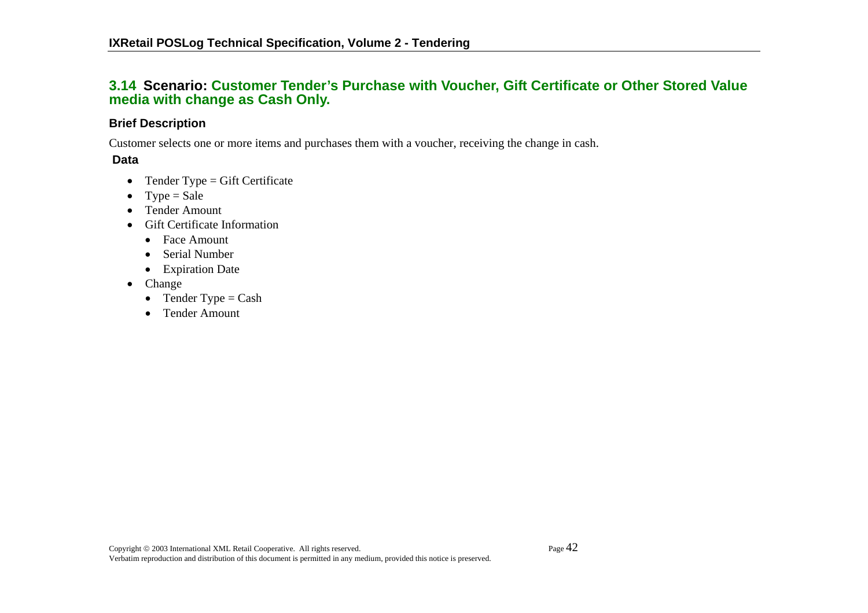# **3.14 Scenario: Customer Tender's Purchase with Voucher, Gift Certificate or Other Stored Value media with change as Cash Only.**

## **Brief Description**

Customer selects one or more items and purchases them with a voucher, receiving the change in cash.

# **Data**

- Tender Type = Gift Certificate
- Type  $=$  Sale
- Tender Amount
- Gift Certificate Information
	- Face Amount
	- Serial Number
	- Expiration Date
- Change
	- Tender Type  $=$  Cash
	- Tender Amount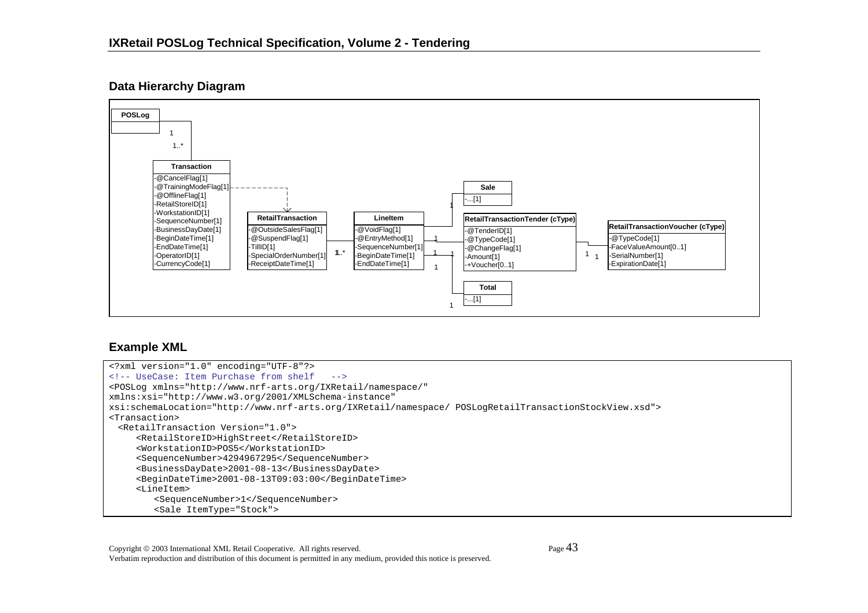

# **Example XML**

| xml version="1.0" encoding="UTF-8"?                                                                    |
|--------------------------------------------------------------------------------------------------------|
| <!-- UseCase: Item Purchase from shelf<br> $--$                                                        |
| <poslog <="" td="" xmlns="http://www.nrf-arts.org/IXRetail/namespace/"></poslog>                       |
| xmlns:xsi="http://www.w3.org/2001/XMLSchema-instance"                                                  |
| xsi:schemaLocation="http://www.nrf-arts.org/IXRetail/namespace/ POSLogRetailTransactionStockView.xsd"> |
| <transaction></transaction>                                                                            |
| <retailtransaction version="1.0"></retailtransaction>                                                  |
| <retailstoreid>HighStreet</retailstoreid>                                                              |
| <workstationid>POS5</workstationid>                                                                    |
| <sequencenumber>4294967295</sequencenumber>                                                            |
| <businessdaydate>2001-08-13</businessdaydate>                                                          |
| <begindatetime>2001-08-13T09:03:00</begindatetime>                                                     |
| <lineitem></lineitem>                                                                                  |
| <sequencenumber>1</sequencenumber>                                                                     |
| <sale itemtype="Stock"></sale>                                                                         |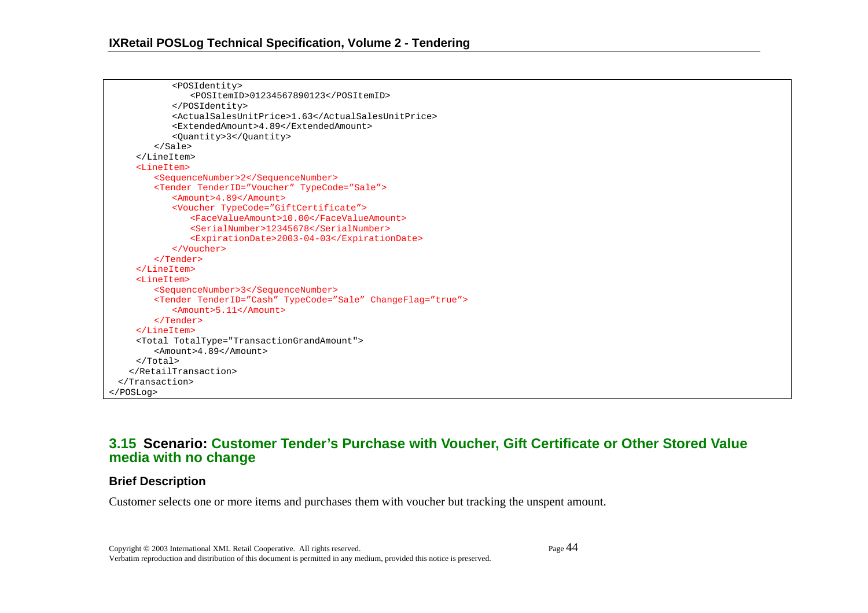```
 <POSIdentity> 
                 <POSItemID>01234567890123</POSItemID> 
             </POSIdentity> 
             <ActualSalesUnitPrice>1.63</ActualSalesUnitPrice> 
             <ExtendedAmount>4.89</ExtendedAmount> 
             <Quantity>3</Quantity> 
         </Sale> 
      </LineItem> 
      <LineItem>  <SequenceNumber>2</SequenceNumber> 
         <Tender TenderID="Voucher" TypeCode="Sale"> 
             <Amount>4.89</Amount> 
             <Voucher TypeCode="GiftCertificate"> 
                 <FaceValueAmount>10.00</FaceValueAmount> 
                 <SerialNumber>12345678</SerialNumber> 
                 <ExpirationDate>2003-04-03</ExpirationDate> 
             </Voucher> 
         </Tender> 
      </LineItem> 
      <LineItem>  <SequenceNumber>3</SequenceNumber> 
         <Tender TenderID="Cash" TypeCode="Sale" ChangeFlag="true"> 
             <Amount>5.11</Amount> 
         </Tender> 
      </LineItem> 
     <Total TotalType="TransactionGrandAmount"> 
         <Amount>4.89</Amount> 
      </Total> 
    </RetailTransaction> 
  </Transaction> 
</POSLog>
```
# **3.15 Scenario: Customer Tender's Purchase with Voucher, Gift Certificate or Other Stored Value media with no change**

### **Brief Description**

Customer selects one or more items and purchases them with voucher but tracking the unspent amount.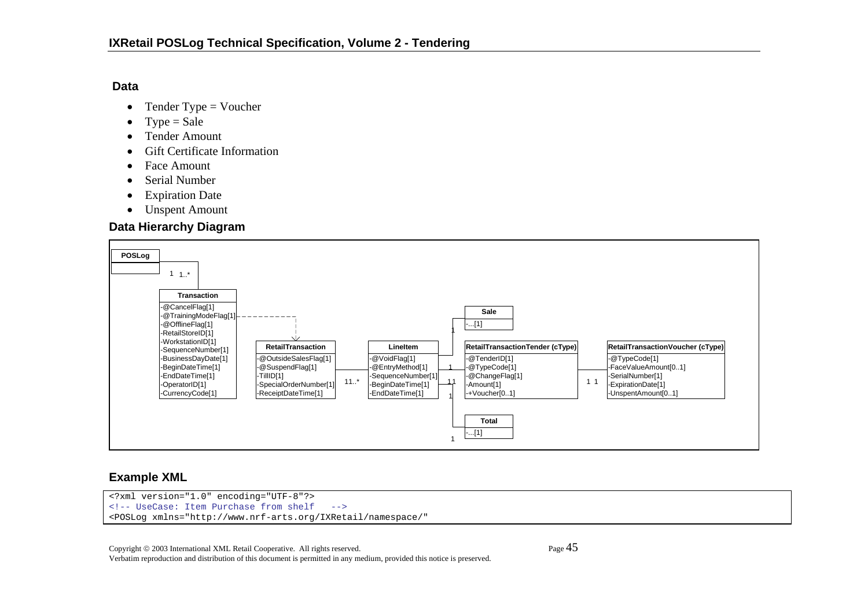### **Data**

- $\bullet$ Tender Type = Voucher
- • $Type = Sale$
- •Tender Amount
- •Gift Certificate Information
- •Face Amount
- •Serial Number
- $\bullet$ Expiration Date
- $\bullet$ Unspent Amount

### **Data Hierarchy Diagram**



### **Example XML**

<?xml version="1.0" encoding="UTF-8"?> <!-- UseCase: Item Purchase from shelf --> <POSLog xmlns="http://www.nrf-arts.org/IXRetail/namespace/"

Copyright 2003 International XML Retail Cooperative. All rights reserved. Page 45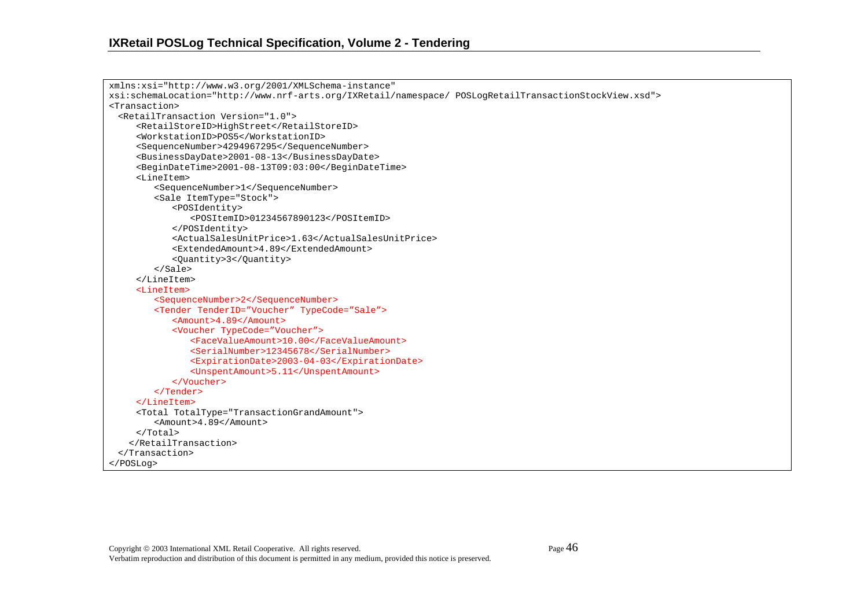```
xmlns:xsi="http://www.w3.org/2001/XMLSchema-instance" 
xsi:schemaLocation="http://www.nrf-arts.org/IXRetail/namespace/ POSLogRetailTransactionStockView.xsd"> 
<Transaction>  <RetailTransaction Version="1.0">  <RetailStoreID>HighStreet</RetailStoreID> 
      <WorkstationID>POS5</WorkstationID> 
      <SequenceNumber>4294967295</SequenceNumber> 
      <BusinessDayDate>2001-08-13</BusinessDayDate> 
      <BeginDateTime>2001-08-13T09:03:00</BeginDateTime> 
      <LineItem>  <SequenceNumber>1</SequenceNumber> 
          <Sale ItemType="Stock"> 
             <POSIdentity> 
                 <POSItemID>01234567890123</POSItemID> 
             </POSIdentity> 
             <ActualSalesUnitPrice>1.63</ActualSalesUnitPrice> 
             <ExtendedAmount>4.89</ExtendedAmount> 
             <Quantity>3</Quantity> 
          </Sale> 
      </LineItem> 
      <LineItem>  <SequenceNumber>2</SequenceNumber> 
          <Tender TenderID="Voucher" TypeCode="Sale"> 
             <Amount>4.89</Amount> 
             <Voucher TypeCode="Voucher"> 
                 <FaceValueAmount>10.00</FaceValueAmount> 
                 <SerialNumber>12345678</SerialNumber> 
                 <ExpirationDate>2003-04-03</ExpirationDate> 
                 <UnspentAmount>5.11</UnspentAmount> 
             </Voucher> 
          </Tender> 
      </LineItem> 
     <Total TotalType="TransactionGrandAmount"> 
          <Amount>4.89</Amount> 
      </Total> 
     </RetailTransaction> 
  </Transaction> 
</POSLog>
```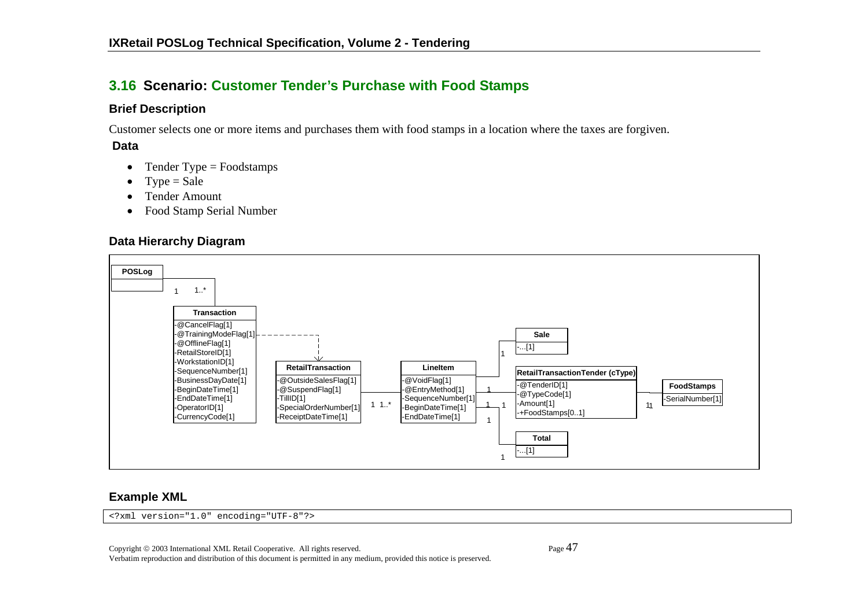# **3.16 Scenario: Customer Tender's Purchase with Food Stamps**

### **Brief Description**

Customer selects one or more items and purchases them with food stamps in a location where the taxes are forgiven.

#### **Data**

- Tender Type = Foodstamps
- • $Type = Sale$
- •Tender Amount
- Food Stamp Serial Number

### **Data Hierarchy Diagram**



### **Example XML**

<?xml version="1.0" encoding="UTF-8"?>

Copyright 2003 International XML Retail Cooperative. All rights reserved. Page 47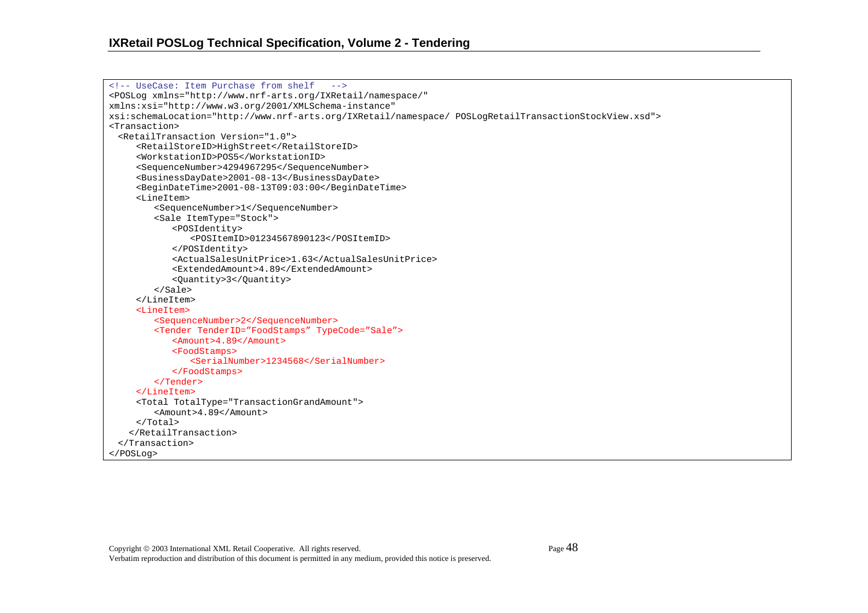```
<!-- UseCase: Item Purchase from shelf --> <POSLog xmlns="http://www.nrf-arts.org/IXRetail/namespace/" 
xmlns:xsi="http://www.w3.org/2001/XMLSchema-instance" 
xsi:schemaLocation="http://www.nrf-arts.org/IXRetail/namespace/ POSLogRetailTransactionStockView.xsd"> 
<Transaction>  <RetailTransaction Version="1.0">  <RetailStoreID>HighStreet</RetailStoreID> 
      <WorkstationID>POS5</WorkstationID> 
      <SequenceNumber>4294967295</SequenceNumber> 
      <BusinessDayDate>2001-08-13</BusinessDayDate> 
      <BeginDateTime>2001-08-13T09:03:00</BeginDateTime> 
      <LineItem>  <SequenceNumber>1</SequenceNumber> 
          <Sale ItemType="Stock"> 
             <POSIdentity> 
                 <POSItemID>01234567890123</POSItemID> 
             </POSIdentity> 
             <ActualSalesUnitPrice>1.63</ActualSalesUnitPrice> 
             <ExtendedAmount>4.89</ExtendedAmount> 
             <Quantity>3</Quantity> 
          </Sale> 
      </LineItem> 
      <LineItem>  <SequenceNumber>2</SequenceNumber> 
          <Tender TenderID="FoodStamps" TypeCode="Sale"> 
             <Amount>4.89</Amount> 
             <FoodStamps> 
                 <SerialNumber>1234568</SerialNumber> 
             </FoodStamps> 
         </Tender> 
      </LineItem> 
     <Total TotalType="TransactionGrandAmount"> 
          <Amount>4.89</Amount> 
      </Total> 
    </RetailTransaction> 
  </Transaction> 
</POSLog>
```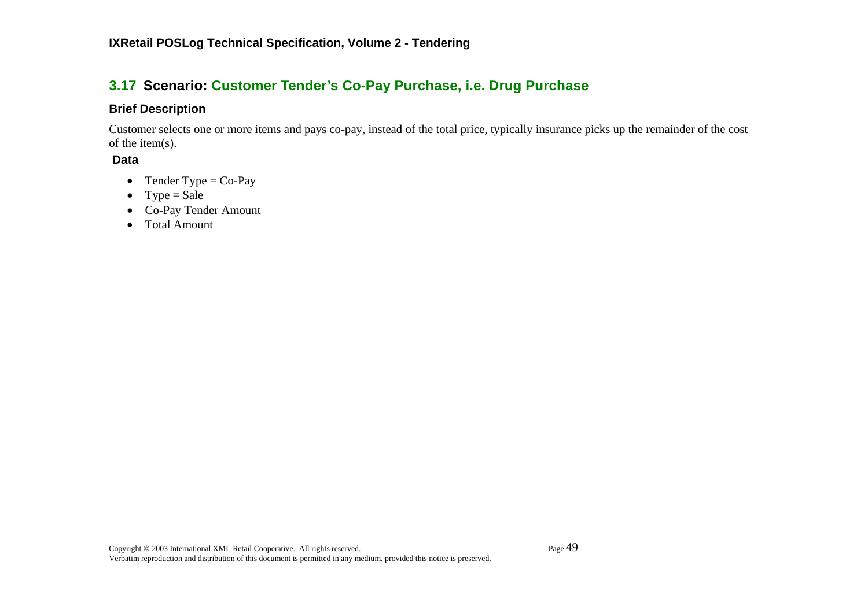# **3.17 Scenario: Customer Tender's Co-Pay Purchase, i.e. Drug Purchase**

## **Brief Description**

Customer selects one or more items and pays co-pay, instead of the total price, typically insurance picks up the remainder of the cost of the item(s).

# **Data**

- Tender Type  $=$  Co-Pay
- Type  $=$  Sale
- Co-Pay Tender Amount
- Total Amount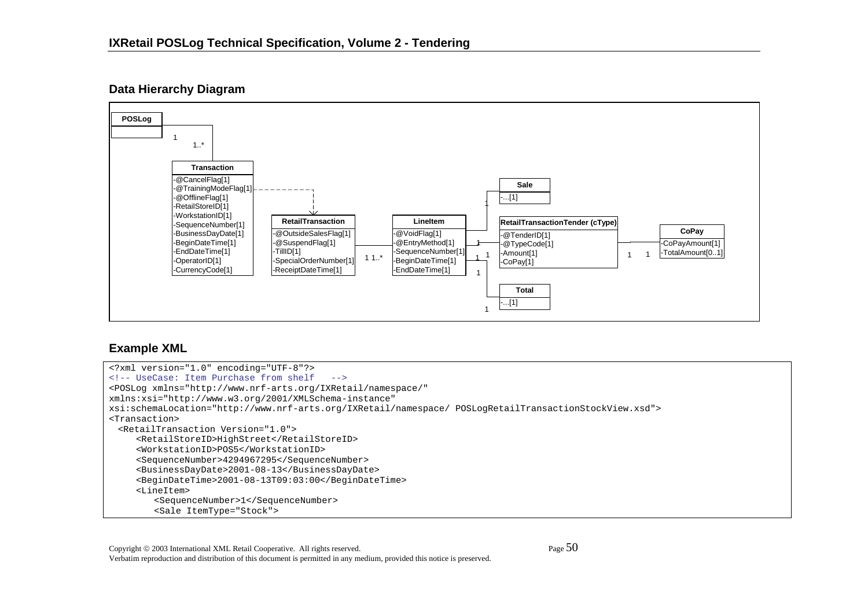

# **Example XML**

| xml version="1.0" encoding="UTF-8"?                                                                    |
|--------------------------------------------------------------------------------------------------------|
| UseCase: Item Purchase from shelf                                                                      |
| <posloq <="" td="" xmlns="http://www.nrf-arts.org/IXRetail/namespace/"></posloq>                       |
| xmlns:xsi="http://www.w3.org/2001/XMLSchema-instance"                                                  |
| xsi:schemaLocation="http://www.nrf-arts.org/IXRetail/namespace/ POSLogRetailTransactionStockView.xsd"> |
| <transaction></transaction>                                                                            |
| <retailtransaction version="1.0"></retailtransaction>                                                  |
| <retailstoreid>HighStreet</retailstoreid>                                                              |
| <workstationid>POS5</workstationid>                                                                    |
| <sequencenumber>4294967295</sequencenumber>                                                            |
| <businessdaydate>2001-08-13</businessdaydate>                                                          |
| <begindatetime>2001-08-13T09:03:00</begindatetime>                                                     |
| <lineitem></lineitem>                                                                                  |
| <sequencenumber>1</sequencenumber>                                                                     |
| <sale itemtype="Stock"></sale>                                                                         |

Copyright 2003 International XML Retail Cooperative. All rights reserved. Page 50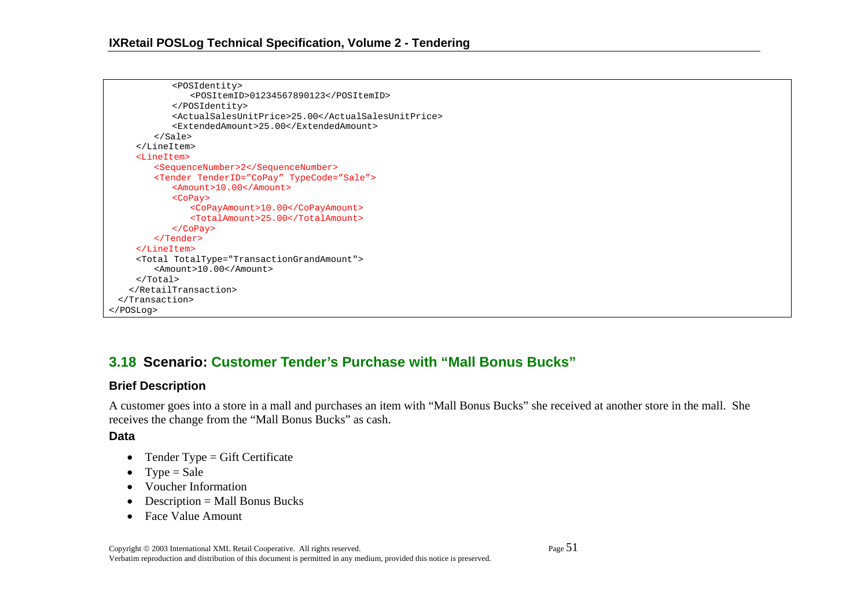```
 <POSIdentity> 
                 <POSItemID>01234567890123</POSItemID> 
             </POSIdentity> 
             <ActualSalesUnitPrice>25.00</ActualSalesUnitPrice> 
             <ExtendedAmount>25.00</ExtendedAmount> 
         </Sale> 
      </LineItem> 
      <LineItem>  <SequenceNumber>2</SequenceNumber> 
         <Tender TenderID="CoPay" TypeCode="Sale"> 
             <Amount>10.00</Amount> 
             <CoPay> 
                 <CoPayAmount>10.00</CoPayAmount> 
                 <TotalAmount>25.00</TotalAmount> 
             </CoPay> 
         </Tender> 
      </LineItem> 
     <Total TotalType="TransactionGrandAmount"> 
         <Amount>10.00</Amount> 
      </Total> 
    </RetailTransaction> 
  </Transaction> 
</POSLog>
```
# **3.18 Scenario: Customer Tender's Purchase with "Mall Bonus Bucks"**

# **Brief Description**

A customer goes into a store in a mall and purchases an item with "Mall Bonus Bucks" she received at another store in the mall. She receives the change from the "Mall Bonus Bucks" as cash.

## **Data**

- Tender Type = Gift Certificate
- Type  $=$  Sale
- Voucher Information
- Description = Mall Bonus Bucks
- Face Value Amount

Copyright © 2003 International XML Retail Cooperative. All rights reserved.  $\qquad \qquad \qquad$  Page  $51$ Verbatim reproduction and distribution of this document is permitted in any medium, provided this notice is preserved.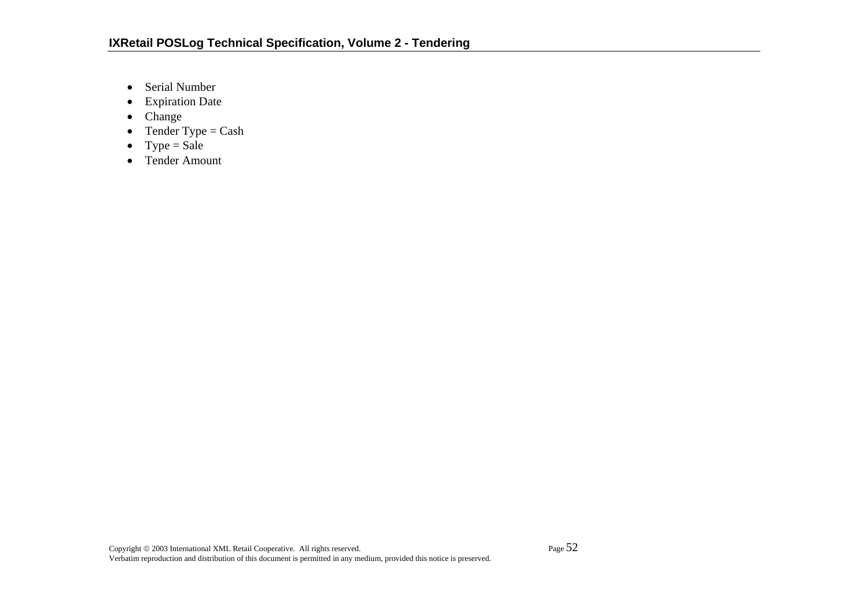- Serial Number
- Expiration Date
- Change
- Tender Type  $=$  Cash
- Type  $=$  Sale
- Tender Amount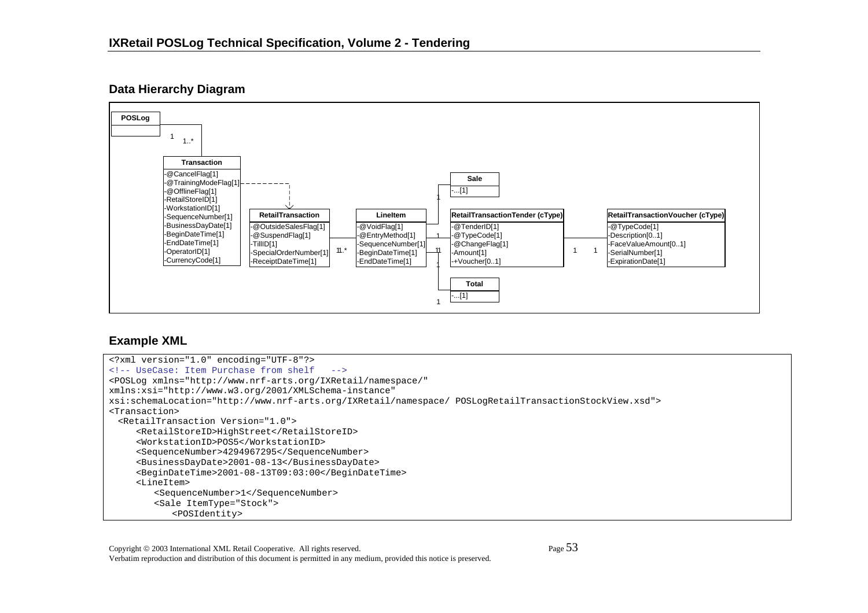

# **Example XML**

| xml version="1.0" encoding="UTF-8"?                                                                    |
|--------------------------------------------------------------------------------------------------------|
| UseCase: Item Purchase from shelf                                                                      |
| <posloq <="" td="" xmlns="http://www.nrf-arts.org/IXRetail/namespace/"></posloq>                       |
| xmlns:xsi="http://www.w3.org/2001/XMLSchema-instance"                                                  |
| xsi:schemaLocation="http://www.nrf-arts.org/IXRetail/namespace/ POSLogRetailTransactionStockView.xsd"> |
| <transaction></transaction>                                                                            |
| <retailtransaction version="1.0"></retailtransaction>                                                  |
| <retailstoreid>HighStreet</retailstoreid>                                                              |
| <workstationid>POS5</workstationid>                                                                    |
| <sequencenumber>4294967295</sequencenumber>                                                            |
| <businessdaydate>2001-08-13</businessdaydate>                                                          |
| <begindatetime>2001-08-13T09:03:00</begindatetime>                                                     |
| <lineitem></lineitem>                                                                                  |
| <sequencenumber>1</sequencenumber>                                                                     |
| <sale itemtype="Stock"></sale>                                                                         |
| <posidentity></posidentity>                                                                            |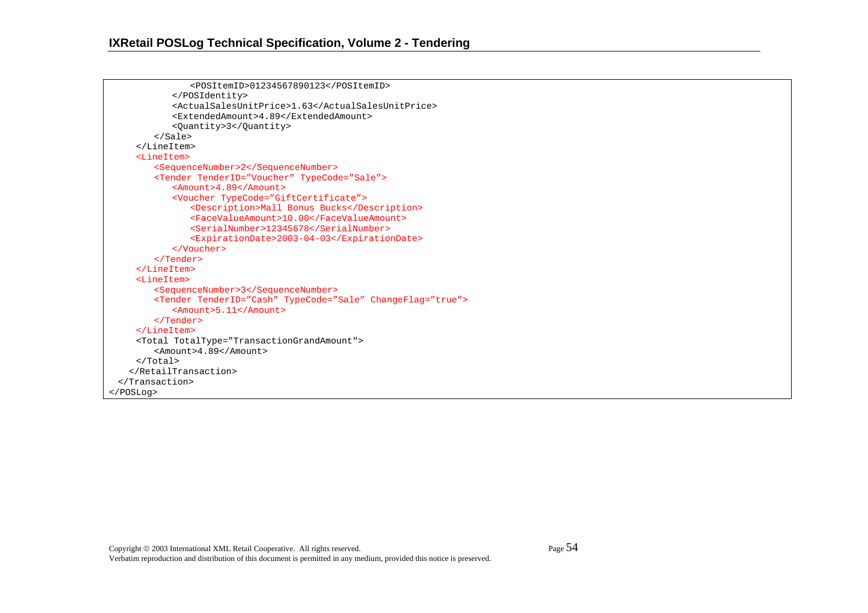```
 <POSItemID>01234567890123</POSItemID> 
             </POSIdentity> 
             <ActualSalesUnitPrice>1.63</ActualSalesUnitPrice> 
             <ExtendedAmount>4.89</ExtendedAmount> 
             <Quantity>3</Quantity> 
         </Sale> 
      </LineItem> 
      <LineItem>  <SequenceNumber>2</SequenceNumber> 
         <Tender TenderID="Voucher" TypeCode="Sale"> 
             <Amount>4.89</Amount> 
             <Voucher TypeCode="GiftCertificate"> 
                 <Description>Mall Bonus Bucks</Description> 
                 <FaceValueAmount>10.00</FaceValueAmount> 
                 <SerialNumber>12345678</SerialNumber> 
                 <ExpirationDate>2003-04-03</ExpirationDate> 
             </Voucher> 
         </Tender> 
      </LineItem> 
      <LineItem>  <SequenceNumber>3</SequenceNumber> 
         <Tender TenderID="Cash" TypeCode="Sale" ChangeFlag="true"> 
             <Amount>5.11</Amount> 
         </Tender> 
      </LineItem> 
     <Total TotalType="TransactionGrandAmount"> 
         <Amount>4.89</Amount> 
      </Total> 
    </RetailTransaction> 
  </Transaction> 
</POSLog>
```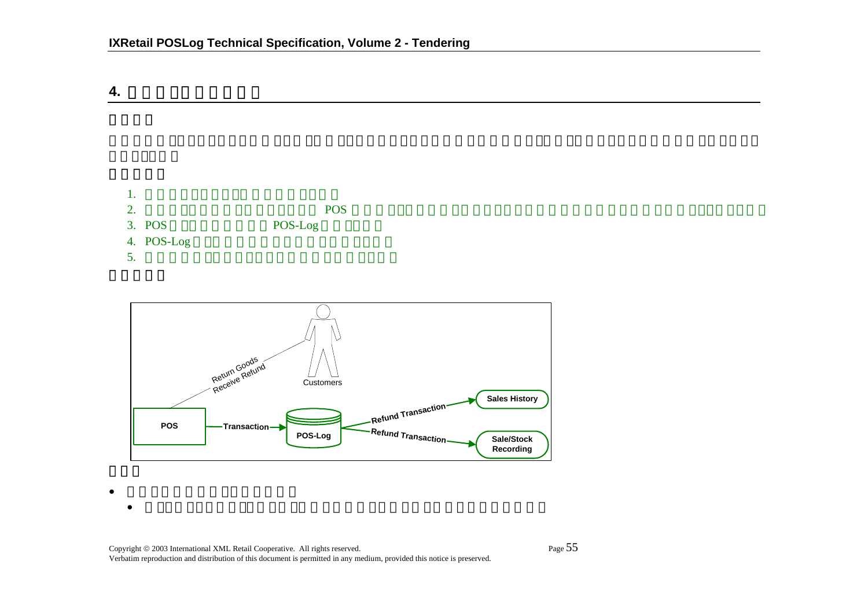**4.** 使用例:

•

•



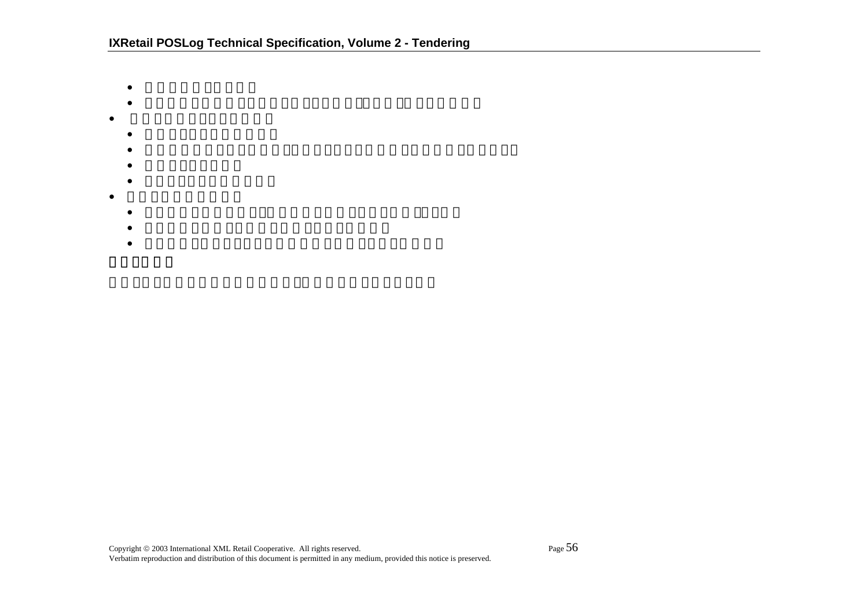- •
- •

•

•

- 
- 
- •
- •
- •
- •
- 
- •
- 
- •
- •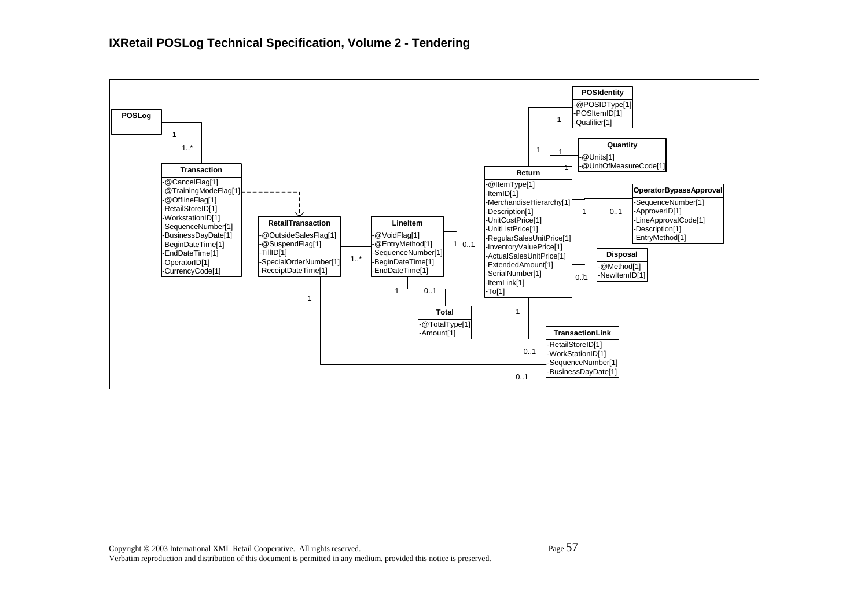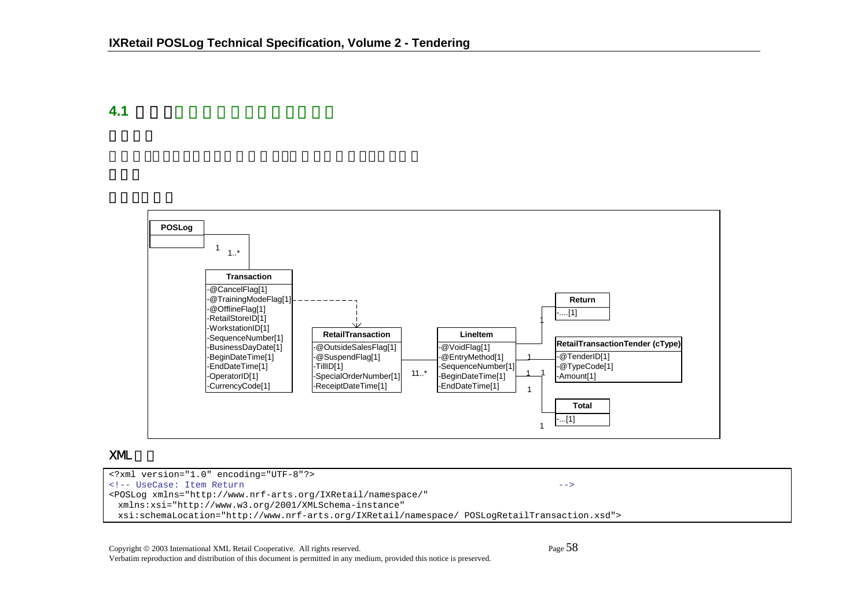**4.1** 状況:



# $XM$

<?xml version="1.0" encoding="UTF-8"?> <!-- UseCase: Item Return --> <POSLog xmlns="http://www.nrf-arts.org/IXRetail/namespace/" xmlns:xsi="http://www.w3.org/2001/XMLSchema-instance" xsi:schemaLocation="http://www.nrf-arts.org/IXRetail/namespace/ POSLogRetailTransaction.xsd">

Copyright © 2003 International XML Retail Cooperative. All rights reserved.  $\qquad \qquad \qquad \qquad \qquad$  Page  $58$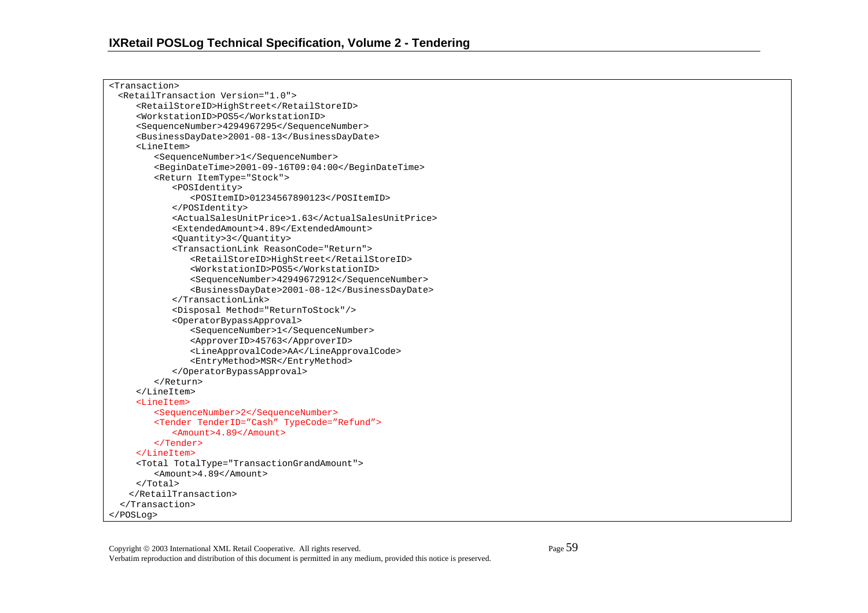```
<Transaction>  <RetailTransaction Version="1.0">  <RetailStoreID>HighStreet</RetailStoreID> 
      <WorkstationID>POS5</WorkstationID> 
      <SequenceNumber>4294967295</SequenceNumber> 
      <BusinessDayDate>2001-08-13</BusinessDayDate> 
      <LineItem>  <SequenceNumber>1</SequenceNumber> 
         <BeginDateTime>2001-09-16T09:04:00</BeginDateTime> 
         <Return ItemType="Stock"> 
             <POSIdentity> 
                 <POSItemID>01234567890123</POSItemID> 
             </POSIdentity> 
             <ActualSalesUnitPrice>1.63</ActualSalesUnitPrice> 
             <ExtendedAmount>4.89</ExtendedAmount> 
             <Quantity>3</Quantity> 
             <TransactionLink ReasonCode="Return">  <RetailStoreID>HighStreet</RetailStoreID> 
                 <WorkstationID>POS5</WorkstationID> 
                 <SequenceNumber>42949672912</SequenceNumber> 
                 <BusinessDayDate>2001-08-12</BusinessDayDate> 
             </TransactionLink> 
             <Disposal Method="ReturnToStock"/> 
             <OperatorBypassApproval> 
                 <SequenceNumber>1</SequenceNumber> 
                 <ApproverID>45763</ApproverID> 
                 <LineApprovalCode>AA</LineApprovalCode> 
                 <EntryMethod>MSR</EntryMethod> 
             </OperatorBypassApproval> 
         </Return> 
      </LineItem> 
      <LineItem>  <SequenceNumber>2</SequenceNumber> 
         <Tender TenderID="Cash" TypeCode="Refund"> 
             <Amount>4.89</Amount> 
         </Tender> 
      </LineItem> 
     <Total TotalType="TransactionGrandAmount"> 
         <Amount>4.89</Amount> 
      </Total> 
    </RetailTransaction> 
  </Transaction> 
</POSLog>
```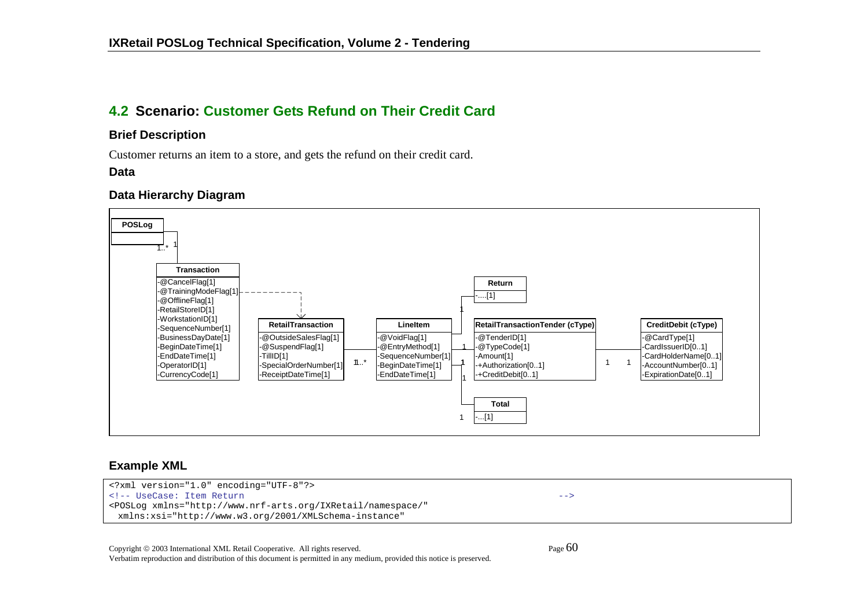# **4.2 Scenario: Customer Gets Refund on Their Credit Card**

### **Brief Description**

Customer returns an item to a store, and gets the refund on their credit card.

#### **Data**

## **Data Hierarchy Diagram**



### **Example XML**

<?xml version="1.0" encoding="UTF-8"?> <!-- UseCase: Item Return --> <POSLog xmlns="http://www.nrf-arts.org/IXRetail/namespace/" xmlns:xsi="http://www.w3.org/2001/XMLSchema-instance"

Copyright 2003 International XML Retail Cooperative. All rights reserved. Page 60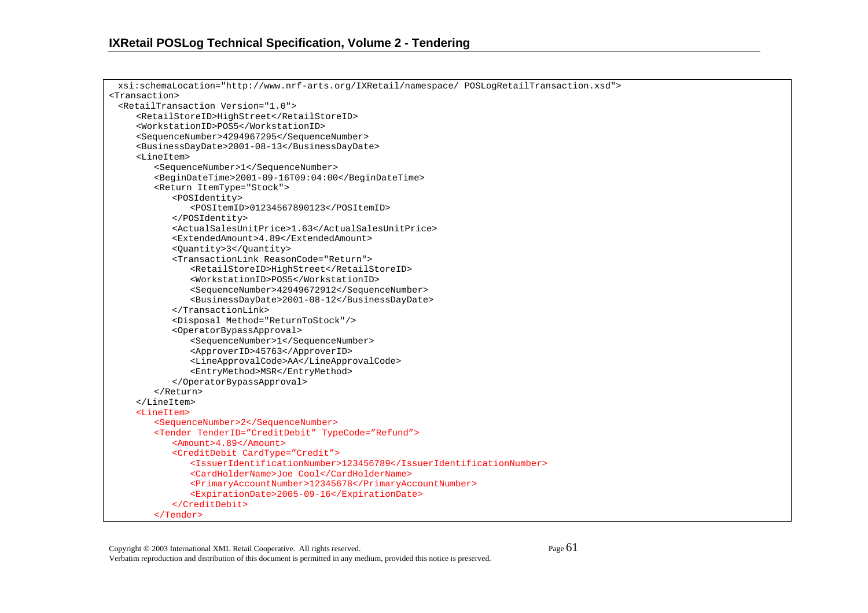```
 xsi:schemaLocation="http://www.nrf-arts.org/IXRetail/namespace/ POSLogRetailTransaction.xsd"> 
<Transaction>  <RetailTransaction Version="1.0">  <RetailStoreID>HighStreet</RetailStoreID> 
      <WorkstationID>POS5</WorkstationID> 
      <SequenceNumber>4294967295</SequenceNumber> 
      <BusinessDayDate>2001-08-13</BusinessDayDate> 
      <LineItem>  <SequenceNumber>1</SequenceNumber> 
         <BeginDateTime>2001-09-16T09:04:00</BeginDateTime> 
         <Return ItemType="Stock"> 
             <POSIdentity> 
                <POSItemID>01234567890123</POSItemID> 
             </POSIdentity> 
             <ActualSalesUnitPrice>1.63</ActualSalesUnitPrice> 
             <ExtendedAmount>4.89</ExtendedAmount> 
             <Quantity>3</Quantity> 
             <TransactionLink ReasonCode="Return">  <RetailStoreID>HighStreet</RetailStoreID> 
                 <WorkstationID>POS5</WorkstationID> 
                 <SequenceNumber>42949672912</SequenceNumber> 
                 <BusinessDayDate>2001-08-12</BusinessDayDate> 
             </TransactionLink> 
             <Disposal Method="ReturnToStock"/> 
             <OperatorBypassApproval> 
                <SequenceNumber>1</SequenceNumber> 
                 <ApproverID>45763</ApproverID> 
                 <LineApprovalCode>AA</LineApprovalCode> 
                <EntryMethod>MSR</EntryMethod> 
             </OperatorBypassApproval> 
         </Return> 
      </LineItem> 
      <LineItem>  <SequenceNumber>2</SequenceNumber> 
         <Tender TenderID="CreditDebit" TypeCode="Refund"> 
             <Amount>4.89</Amount> 
             <CreditDebit CardType="Credit"> 
                 <IssuerIdentificationNumber>123456789</IssuerIdentificationNumber> 
                <CardHolderName>Joe Cool</CardHolderName> 
                <PrimaryAccountNumber>12345678</PrimaryAccountNumber> 
                <ExpirationDate>2005-09-16</ExpirationDate> 
             </CreditDebit> 
         </Tender>
```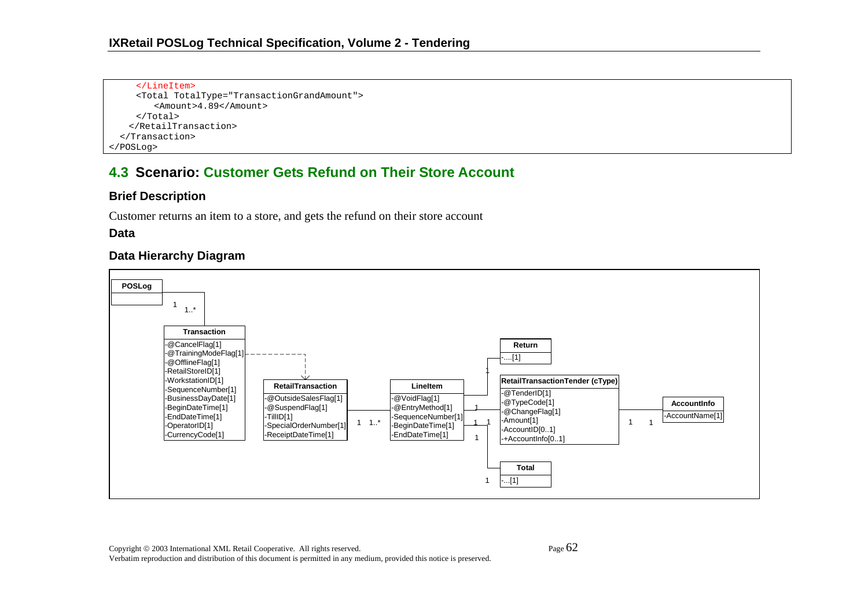```
 </LineItem> 
     <Total TotalType="TransactionGrandAmount"> 
          <Amount>4.89</Amount> 
      </Total> 
    </RetailTransaction> 
  </Transaction> 
</POSLog>
```
# **4.3 Scenario: Customer Gets Refund on Their Store Account**

## **Brief Description**

Customer returns an item to a store, and gets the refund on their store account

#### **Data**

# **Data Hierarchy Diagram**



Copyright 2003 International XML Retail Cooperative. All rights reserved. Page 62 Verbatim reproduction and distribution of this document is permitted in any medium, provided this notice is preserved.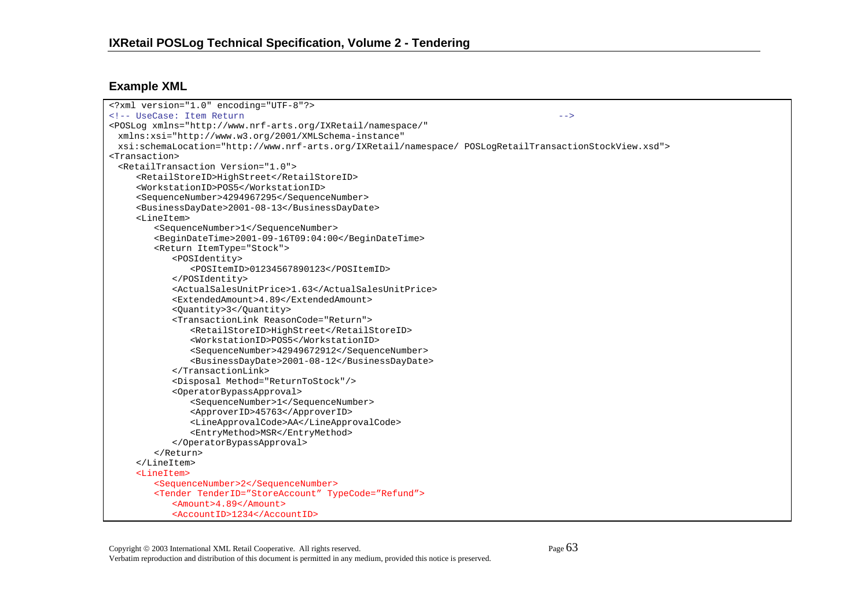## **Example XML**

```
<?xml version="1.0" encoding="UTF-8"?> 
<!-- UseCase: Item Return --> <POSLog xmlns="http://www.nrf-arts.org/IXRetail/namespace/" 
  xmlns:xsi="http://www.w3.org/2001/XMLSchema-instance" 
  xsi:schemaLocation="http://www.nrf-arts.org/IXRetail/namespace/ POSLogRetailTransactionStockView.xsd"> 
<Transaction>  <RetailTransaction Version="1.0">  <RetailStoreID>HighStreet</RetailStoreID> 
      <WorkstationID>POS5</WorkstationID> 
      <SequenceNumber>4294967295</SequenceNumber> 
      <BusinessDayDate>2001-08-13</BusinessDayDate> 
      <LineItem>  <SequenceNumber>1</SequenceNumber> 
         <BeginDateTime>2001-09-16T09:04:00</BeginDateTime> 
         <Return ItemType="Stock"> 
            <POSIdentity> 
                <POSItemID>01234567890123</POSItemID> 
            </POSIdentity> 
            <ActualSalesUnitPrice>1.63</ActualSalesUnitPrice> 
            <ExtendedAmount>4.89</ExtendedAmount> 
            <Quantity>3</Quantity> 
 <TransactionLink ReasonCode="Return"> 
                <RetailStoreID>HighStreet</RetailStoreID> 
                <WorkstationID>POS5</WorkstationID> 
                <SequenceNumber>42949672912</SequenceNumber> 
                <BusinessDayDate>2001-08-12</BusinessDayDate> 
            </TransactionLink> 
            <Disposal Method="ReturnToStock"/> 
            <OperatorBypassApproval> 
                <SequenceNumber>1</SequenceNumber> 
                <ApproverID>45763</ApproverID> 
                <LineApprovalCode>AA</LineApprovalCode> 
                <EntryMethod>MSR</EntryMethod> 
            </OperatorBypassApproval> 
         </Return> 
      </LineItem> 
      <LineItem>  <SequenceNumber>2</SequenceNumber> 
         <Tender TenderID="StoreAccount" TypeCode="Refund"> 
            <Amount>4.89</Amount> 
            <AccountID>1234</AccountID>
```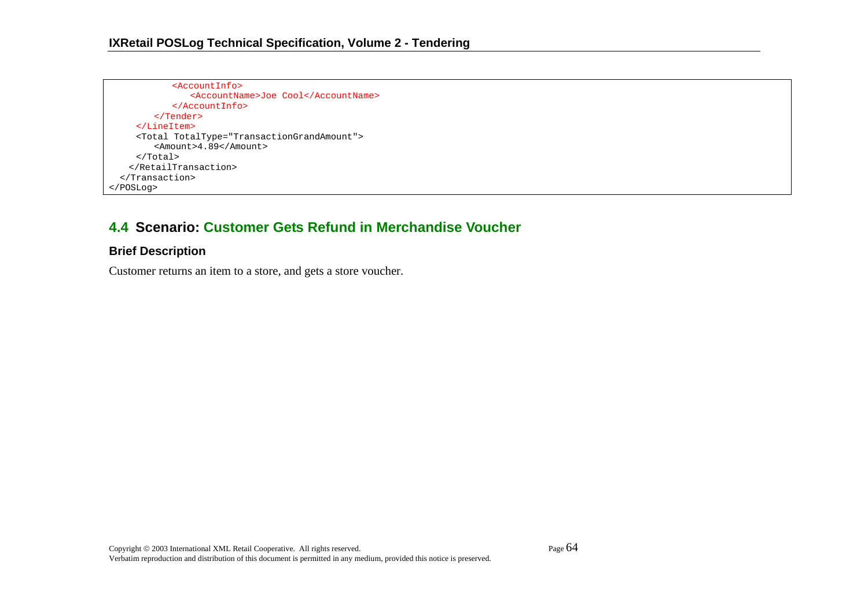| <accountinfo></accountinfo>                        |
|----------------------------------------------------|
| <accountname>Joe Cool</accountname>                |
|                                                    |
| $\langle$ Tender>                                  |
| $\langle$ LineItem>                                |
| <total totaltype="TransactionGrandAmount"></total> |
| <amount>4.89</amount>                              |
| $\langle$ Total>                                   |
|                                                    |
|                                                    |
|                                                    |

# **4.4 Scenario: Customer Gets Refund in Merchandise Voucher**

# **Brief Description**

Customer returns an item to a store, and gets a store voucher.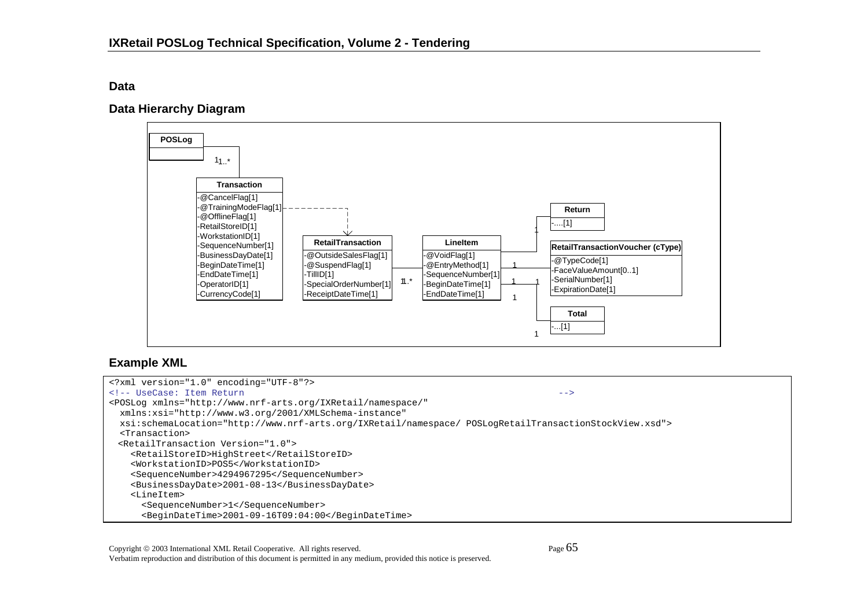#### **Data**

#### **Data Hierarchy Diagram**



### **Example XML**



Copyright © 2003 International XML Retail Cooperative. All rights reserved.  $\qquad \qquad$  Page  $65$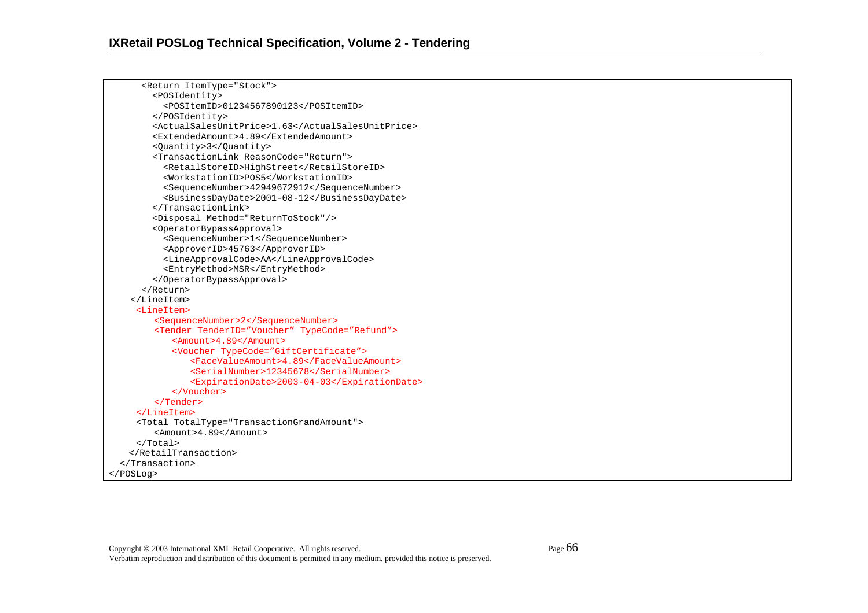| <return itemtype="Stock"></return>                      |
|---------------------------------------------------------|
| <posidentity></posidentity>                             |
| <positemid>01234567890123</positemid>                   |
|                                                         |
| <actualsalesunitprice>1.63</actualsalesunitprice>       |
| <extendedamount>4.89</extendedamount>                   |
| <quantity>3</quantity>                                  |
| <transactionlink reasoncode="Return"></transactionlink> |
| <retailstoreid>HighStreet</retailstoreid>               |
| <workstationid>POS5</workstationid>                     |
| <sequencenumber>42949672912</sequencenumber>            |
| <businessdaydate>2001-08-12</businessdaydate>           |
|                                                         |
| <disposal method="ReturnToStock"></disposal>            |
| <operatorbypassapproval></operatorbypassapproval>       |
| <sequencenumber>1</sequencenumber>                      |
| <approverid>45763</approverid>                          |
| <lineapprovalcode>AA</lineapprovalcode>                 |
| <entrymethod>MSR</entrymethod>                          |
|                                                         |
|                                                         |
|                                                         |
| <lineitem></lineitem>                                   |
| <sequencenumber>2</sequencenumber>                      |
| <tender tenderid="Voucher" typecode="Refund"></tender>  |
| <amount>4.89</amount>                                   |
| <voucher typecode="GiftCertificate"></voucher>          |
| <facevalueamount>4.89</facevalueamount>                 |
| <serialnumber>12345678</serialnumber>                   |
| <expirationdate>2003-04-03</expirationdate>             |
|                                                         |
|                                                         |
|                                                         |
| <total totaltype="TransactionGrandAmount"></total>      |
| <amount>4.89</amount>                                   |
| $<$ /Total>                                             |
|                                                         |
|                                                         |
|                                                         |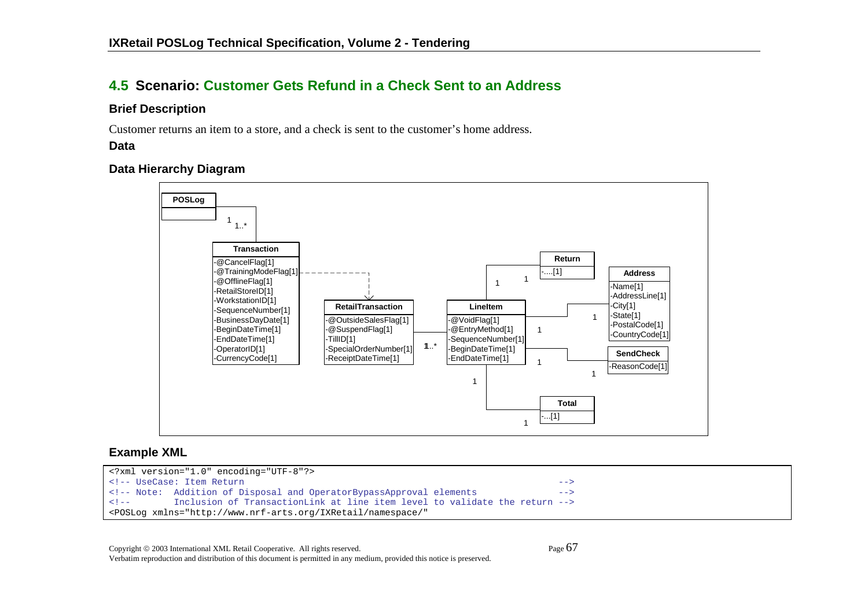# **4.5 Scenario: Customer Gets Refund in a Check Sent to an Address**

### **Brief Description**

Customer returns an item to a store, and a check is sent to the customer's home address.

### **Data**

# **Data Hierarchy Diagram**



# **Example XML**

| xml version="1.0" encoding="UTF-8"?                                                                                                                                                                                                                                   |  |
|-----------------------------------------------------------------------------------------------------------------------------------------------------------------------------------------------------------------------------------------------------------------------|--|
| UseCase: Item Return</td><td><math>--</math></td></tr><tr><td><!-- Note: Addition of Disposal and OperatorBypassApproval elements</td><td><math>--</math></td></tr><tr><td>Inclusion of TransactionLink at line item level to validate the return<br>$\epsilon$ + $-$ |  |
| sposlog xmlns="http://www.nrf-arts.org/IXRetail/namespace/"                                                                                                                                                                                                           |  |

Copyright © 2003 International XML Retail Cooperative. All rights reserved.  $\qquad \qquad \qquad$  Page  $67$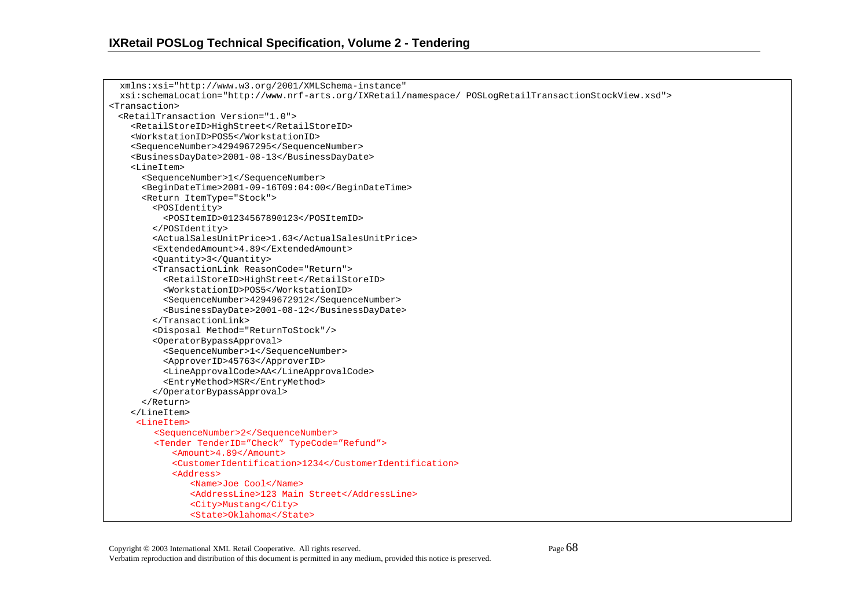```
 xmlns:xsi="http://www.w3.org/2001/XMLSchema-instance" 
  xsi:schemaLocation="http://www.nrf-arts.org/IXRetail/namespace/ POSLogRetailTransactionStockView.xsd"> 
<Transaction>  <RetailTransaction Version="1.0">  <RetailStoreID>HighStreet</RetailStoreID> 
    <WorkstationID>POS5</WorkstationID> 
    <SequenceNumber>4294967295</SequenceNumber> 
    <BusinessDayDate>2001-08-13</BusinessDayDate> 
    <LineItem>  <SequenceNumber>1</SequenceNumber> 
       <BeginDateTime>2001-09-16T09:04:00</BeginDateTime> 
       <Return ItemType="Stock"> 
         <POSIdentity> 
           <POSItemID>01234567890123</POSItemID> 
         </POSIdentity> 
         <ActualSalesUnitPrice>1.63</ActualSalesUnitPrice> 
         <ExtendedAmount>4.89</ExtendedAmount> 
         <Quantity>3</Quantity> 
         <TransactionLink ReasonCode="Return">  <RetailStoreID>HighStreet</RetailStoreID> 
           <WorkstationID>POS5</WorkstationID> 
           <SequenceNumber>42949672912</SequenceNumber> 
           <BusinessDayDate>2001-08-12</BusinessDayDate> 
         </TransactionLink> 
         <Disposal Method="ReturnToStock"/> 
         <OperatorBypassApproval> 
           <SequenceNumber>1</SequenceNumber> 
           <ApproverID>45763</ApproverID> 
           <LineApprovalCode>AA</LineApprovalCode> 
           <EntryMethod>MSR</EntryMethod> 
         </OperatorBypassApproval> 
       </Return> 
    </LineItem> 
      <LineItem>  <SequenceNumber>2</SequenceNumber> 
         <Tender TenderID="Check" TypeCode="Refund"> 
             <Amount>4.89</Amount> 
             <CustomerIdentification>1234</CustomerIdentification> 
             <Address>  <Name>Joe Cool</Name> 
                 <AddressLine>123 Main Street</AddressLine> 
                <City>Mustang</City> 
                <State>Oklahoma</State>
```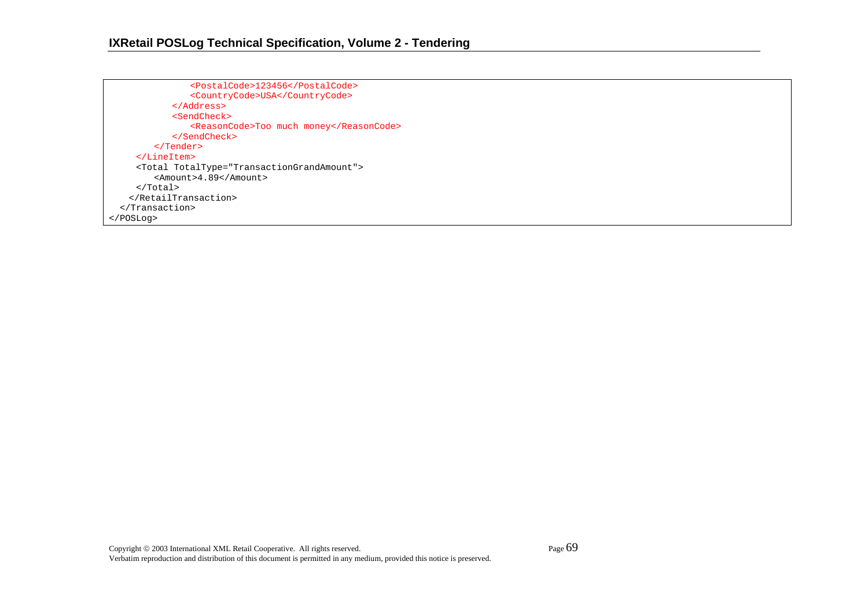| <postalcode>123456</postalcode>                    |
|----------------------------------------------------|
| <countrycode>USA</countrycode>                     |
|                                                    |
| <sendcheck></sendcheck>                            |
| <reasoncode>Too much money</reasoncode>            |
|                                                    |
| $\langle$ Tender>                                  |
| $\langle$ LineItem>                                |
| <total totaltype="TransactionGrandAmount"></total> |
| <amount>4.89</amount>                              |
| $\langle$ Total>                                   |
|                                                    |
|                                                    |
|                                                    |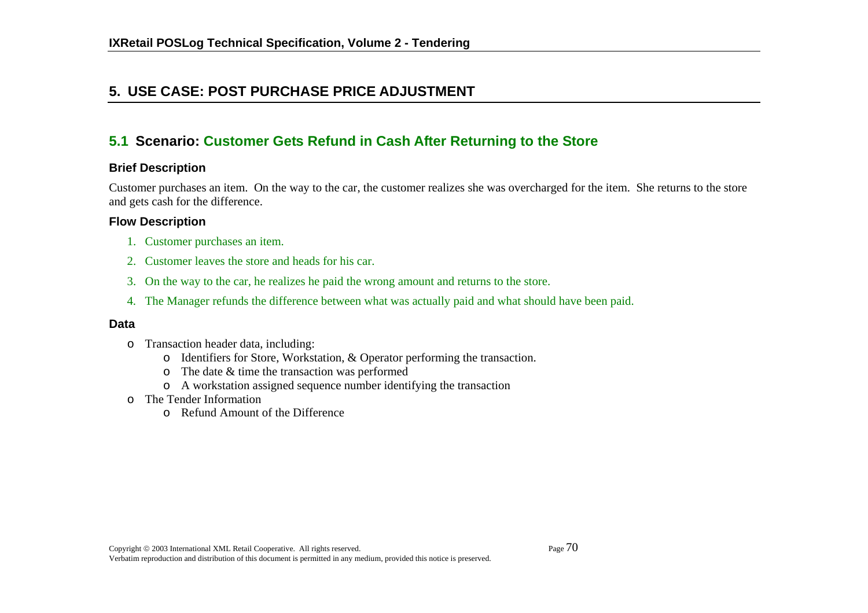# **5. USE CASE: POST PURCHASE PRICE ADJUSTMENT**

# **5.1 Scenario: Customer Gets Refund in Cash After Returning to the Store**

### **Brief Description**

Customer purchases an item. On the way to the car, the customer realizes she was overcharged for the item. She returns to the store and gets cash for the difference.

#### **Flow Description**

- 1. Customer purchases an item.
- 2. Customer leaves the store and heads for his car.
- 3. On the way to the car, he realizes he paid the wrong amount and returns to the store.
- 4. The Manager refunds the difference between what was actually paid and what should have been paid.

#### **Data**

- o Transaction header data, including:
	- o Identifiers for Store, Workstation, & Operator performing the transaction.
	- o The date & time the transaction was performed
	- o A workstation assigned sequence number identifying the transaction
- o The Tender Information
	- o Refund Amount of the Difference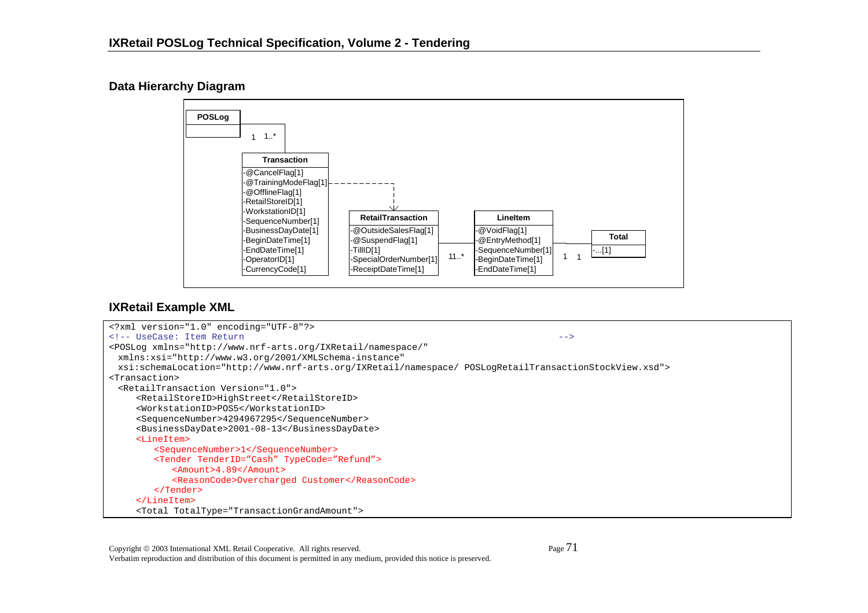

### **IXRetail Example XML**

| xml version="1.0" encoding="UTF-8"?                                                                    |
|--------------------------------------------------------------------------------------------------------|
| <!-- UseCase: Item Return<br> $--$                                                                     |
| <poslog <="" td="" xmlns="http://www.nrf-arts.org/IXRetail/namespace/"></poslog>                       |
| xmlns:xsi="http://www.w3.org/2001/XMLSchema-instance"                                                  |
| xsi:schemaLocation="http://www.nrf-arts.org/IXRetail/namespace/ POSLogRetailTransactionStockView.xsd"> |
| <transaction></transaction>                                                                            |
| <retailtransaction version="1.0"></retailtransaction>                                                  |
| <retailstoreid>HighStreet</retailstoreid>                                                              |
| <workstationid>POS5</workstationid>                                                                    |
| <sequencenumber>4294967295</sequencenumber>                                                            |
| <businessdaydate>2001-08-13</businessdaydate>                                                          |
| <lineitem></lineitem>                                                                                  |
| <sequencenumber>1</sequencenumber>                                                                     |
| <tender tenderid="Cash" typecode="Refund"></tender>                                                    |
| <amount>4.89</amount>                                                                                  |
| <reasoncode>Overcharged Customer</reasoncode>                                                          |
| $\langle$ Tender>                                                                                      |
| $\langle$ LineItem>                                                                                    |
| <total totaltype="TransactionGrandAmount"></total>                                                     |

Copyright © 2003 International XML Retail Cooperative. All rights reserved.  $P_{\text{angle}} 71$ Verbatim reproduction and distribution of this document is permitted in any medium, provided this notice is preserved.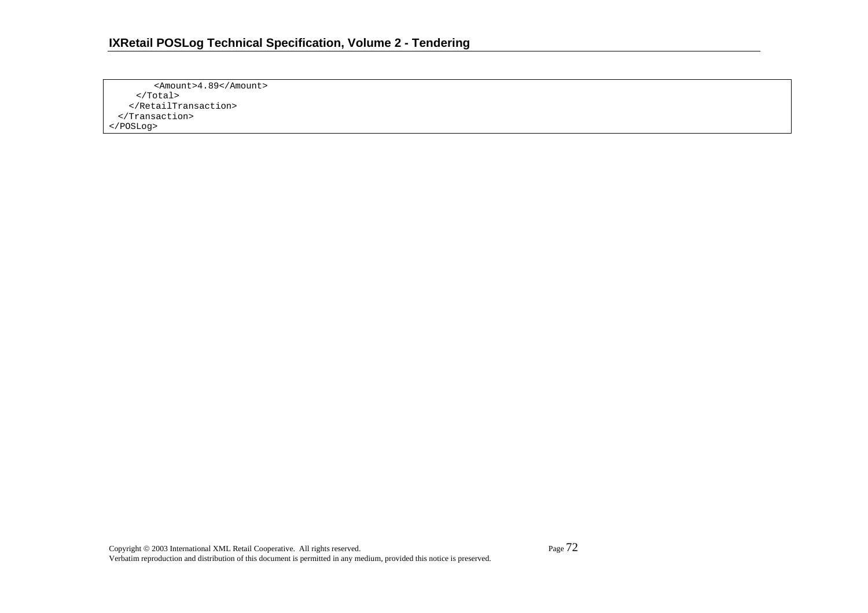<Amount>4.89</Amount> </Total> </RetailTransaction> </Transaction> </POSLog>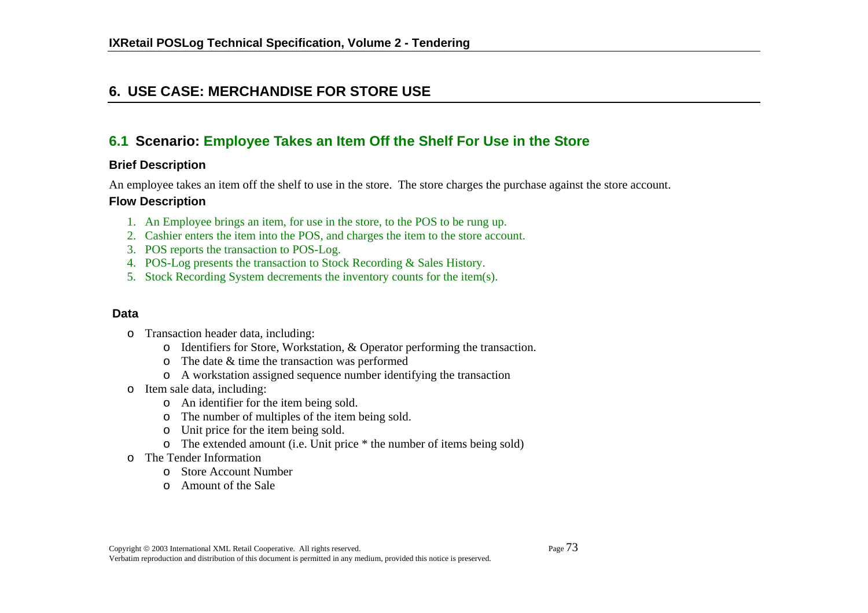## **6. USE CASE: MERCHANDISE FOR STORE USE**

## **6.1 Scenario: Employee Takes an Item Off the Shelf For Use in the Store**

#### **Brief Description**

An employee takes an item off the shelf to use in the store. The store charges the purchase against the store account.

### **Flow Description**

- 1. An Employee brings an item, for use in the store, to the POS to be rung up.
- 2. Cashier enters the item into the POS, and charges the item to the store account.
- 3. POS reports the transaction to POS-Log.
- 4. POS-Log presents the transaction to Stock Recording & Sales History.
- 5. Stock Recording System decrements the inventory counts for the item(s).

#### **Data**

- o Transaction header data, including:
	- o Identifiers for Store, Workstation, & Operator performing the transaction.
	- o The date & time the transaction was performed
	- o A workstation assigned sequence number identifying the transaction
- o Item sale data, including:
	- o An identifier for the item being sold.
	- o The number of multiples of the item being sold.
	- o Unit price for the item being sold.
	- o The extended amount (i.e. Unit price \* the number of items being sold)
- o The Tender Information
	- o Store Account Number
	- o Amount of the Sale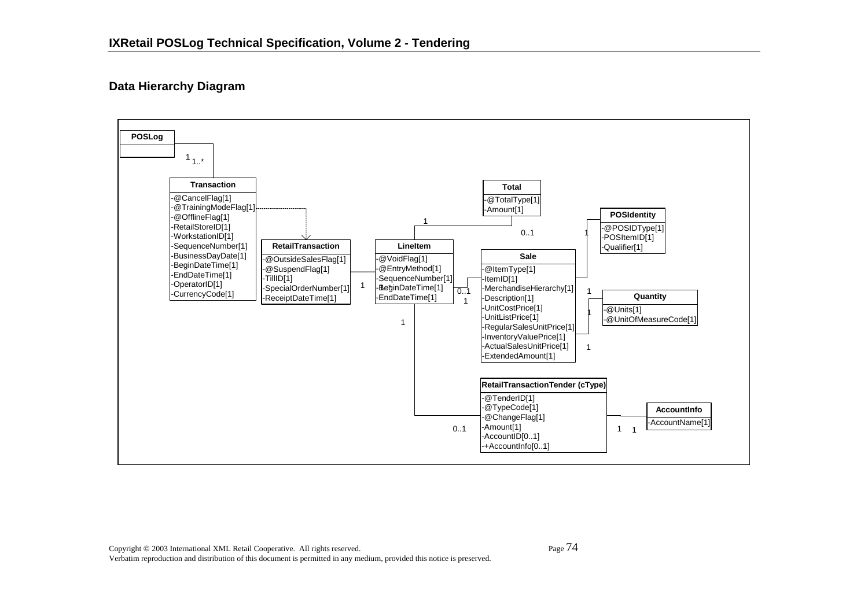## **Data Hierarchy Diagram**

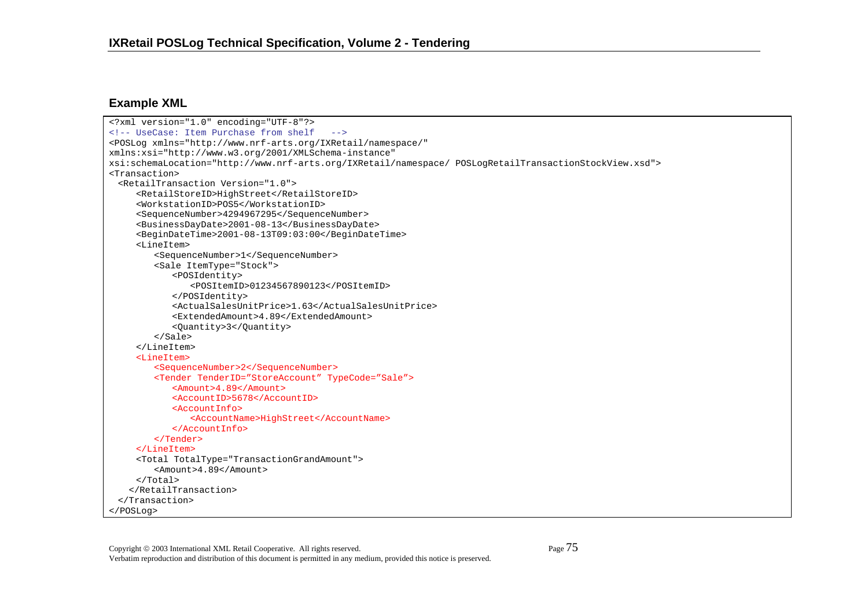#### **Example XML**

```
<?xml version="1.0" encoding="UTF-8"?> 
<!-- UseCase: Item Purchase from shelf --> <POSLog xmlns="http://www.nrf-arts.org/IXRetail/namespace/" 
xmlns:xsi="http://www.w3.org/2001/XMLSchema-instance" 
xsi:schemaLocation="http://www.nrf-arts.org/IXRetail/namespace/ POSLogRetailTransactionStockView.xsd"> 
<Transaction>  <RetailTransaction Version="1.0">  <RetailStoreID>HighStreet</RetailStoreID> 
      <WorkstationID>POS5</WorkstationID> 
      <SequenceNumber>4294967295</SequenceNumber> 
      <BusinessDayDate>2001-08-13</BusinessDayDate> 
      <BeginDateTime>2001-08-13T09:03:00</BeginDateTime> 
      <LineItem>  <SequenceNumber>1</SequenceNumber> 
          <Sale ItemType="Stock"> 
             <POSIdentity> 
                 <POSItemID>01234567890123</POSItemID> 
             </POSIdentity> 
             <ActualSalesUnitPrice>1.63</ActualSalesUnitPrice> 
             <ExtendedAmount>4.89</ExtendedAmount> 
             <Quantity>3</Quantity> 
          </Sale> 
      </LineItem> 
      <LineItem>  <SequenceNumber>2</SequenceNumber> 
          <Tender TenderID="StoreAccount" TypeCode="Sale"> 
             <Amount>4.89</Amount> 
             <AccountID>5678</AccountID> 
             <AccountInfo>  <AccountName>HighStreet</AccountName> 
             </AccountInfo> 
         </Tender> 
      </LineItem> 
     <Total TotalType="TransactionGrandAmount"> 
          <Amount>4.89</Amount> 
      </Total> 
    </RetailTransaction> 
  </Transaction> 
</POSLog>
```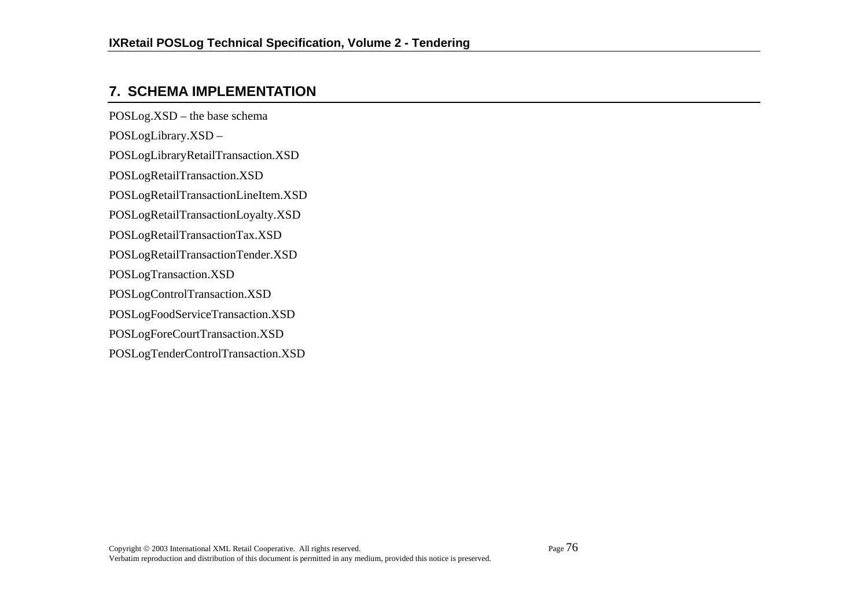## **7. SCHEMA IMPLEMENTATION**

POSLog.XSD – the base schema POSLogLibrary.XSD – POSLogLibraryRetailTransaction.XSD POSLogRetailTransaction.XSD POSLogRetailTransactionLineItem.XSD POSLogRetailTransactionLoyalty.XSD POSLogRetailTransactionTax.XSD POSLogRetailTransactionTender.XSD POSLogTransaction.XSD POSLogControlTransaction.XSD POSLogFoodServiceTransaction.XSD POSLogForeCourtTransaction.XSD POSLogTenderControlTransaction.XSD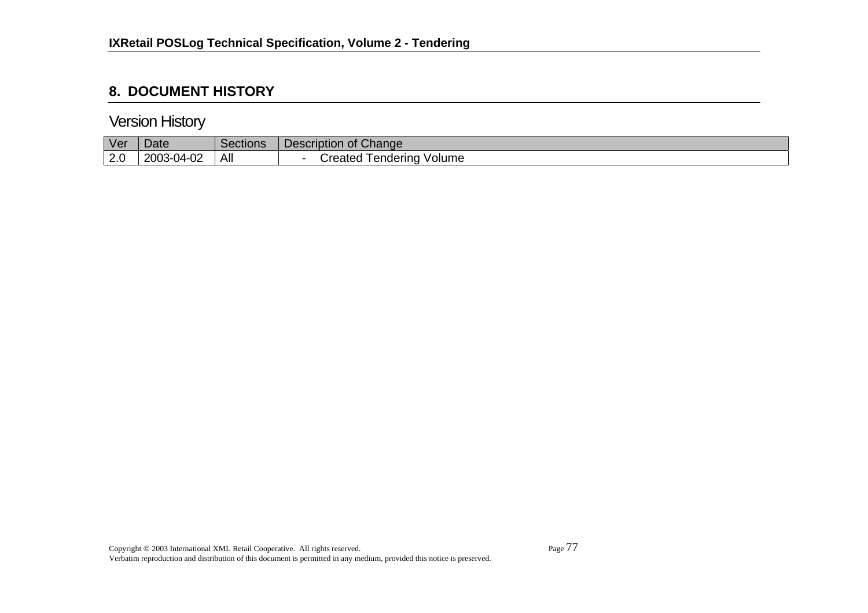# **8. DOCUMENT HISTORY**

# Version History

| <b>Ver</b> | Date:      | Sections | Description of Change       |
|------------|------------|----------|-----------------------------|
| 2.0        | 2003-04-02 | All      | Tendering Volume<br>Created |